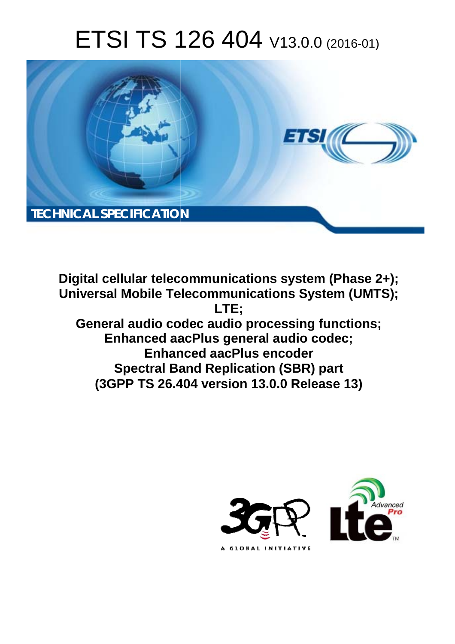# ETSI TS 126 404 V13.0.0 (2016-01)



**Digital cellular telecommunications system (Phase 2+); Universal Mobile Tel elecommunications System ( (UMTS); General audio codec audio processing functions; Enhanced aa aacPlus general audio codec; Enhan anced aacPlus encoder Spectral Ba Band Replication (SBR) part** Enhanced aacPlus general audio codec;<br>Enhanced aacPlus encoder<br>Spectral Band Replication (SBR) part<br>(3GPP TS 26.404 version 13.0.0 Release 13) **LTE;** 

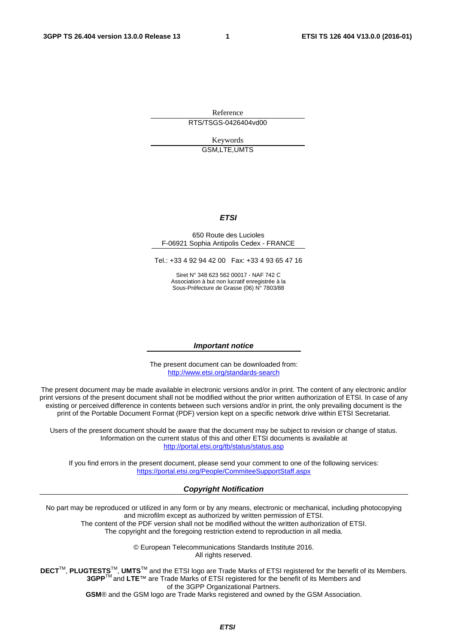Reference RTS/TSGS-0426404vd00

> Keywords GSM,LTE,UMTS

#### *ETSI*

#### 650 Route des Lucioles F-06921 Sophia Antipolis Cedex - FRANCE

Tel.: +33 4 92 94 42 00 Fax: +33 4 93 65 47 16

Siret N° 348 623 562 00017 - NAF 742 C Association à but non lucratif enregistrée à la Sous-Préfecture de Grasse (06) N° 7803/88

#### *Important notice*

The present document can be downloaded from: <http://www.etsi.org/standards-search>

The present document may be made available in electronic versions and/or in print. The content of any electronic and/or print versions of the present document shall not be modified without the prior written authorization of ETSI. In case of any existing or perceived difference in contents between such versions and/or in print, the only prevailing document is the print of the Portable Document Format (PDF) version kept on a specific network drive within ETSI Secretariat.

Users of the present document should be aware that the document may be subject to revision or change of status. Information on the current status of this and other ETSI documents is available at <http://portal.etsi.org/tb/status/status.asp>

If you find errors in the present document, please send your comment to one of the following services: <https://portal.etsi.org/People/CommiteeSupportStaff.aspx>

#### *Copyright Notification*

No part may be reproduced or utilized in any form or by any means, electronic or mechanical, including photocopying and microfilm except as authorized by written permission of ETSI.

The content of the PDF version shall not be modified without the written authorization of ETSI. The copyright and the foregoing restriction extend to reproduction in all media.

> © European Telecommunications Standards Institute 2016. All rights reserved.

**DECT**TM, **PLUGTESTS**TM, **UMTS**TM and the ETSI logo are Trade Marks of ETSI registered for the benefit of its Members. **3GPP**TM and **LTE**™ are Trade Marks of ETSI registered for the benefit of its Members and of the 3GPP Organizational Partners.

**GSM**® and the GSM logo are Trade Marks registered and owned by the GSM Association.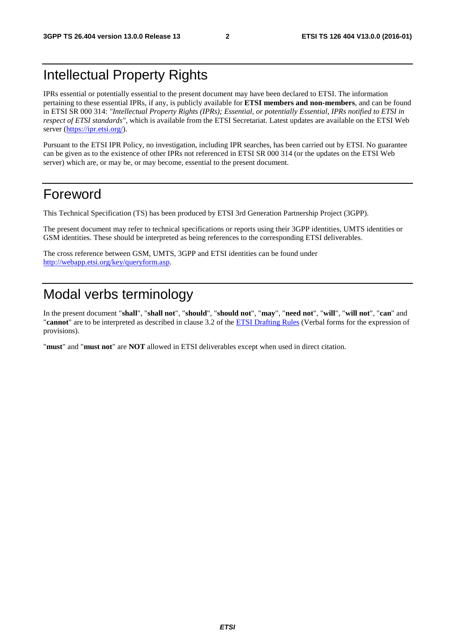# Intellectual Property Rights

IPRs essential or potentially essential to the present document may have been declared to ETSI. The information pertaining to these essential IPRs, if any, is publicly available for **ETSI members and non-members**, and can be found in ETSI SR 000 314: *"Intellectual Property Rights (IPRs); Essential, or potentially Essential, IPRs notified to ETSI in respect of ETSI standards"*, which is available from the ETSI Secretariat. Latest updates are available on the ETSI Web server [\(https://ipr.etsi.org/](https://ipr.etsi.org/)).

Pursuant to the ETSI IPR Policy, no investigation, including IPR searches, has been carried out by ETSI. No guarantee can be given as to the existence of other IPRs not referenced in ETSI SR 000 314 (or the updates on the ETSI Web server) which are, or may be, or may become, essential to the present document.

### Foreword

This Technical Specification (TS) has been produced by ETSI 3rd Generation Partnership Project (3GPP).

The present document may refer to technical specifications or reports using their 3GPP identities, UMTS identities or GSM identities. These should be interpreted as being references to the corresponding ETSI deliverables.

The cross reference between GSM, UMTS, 3GPP and ETSI identities can be found under <http://webapp.etsi.org/key/queryform.asp>.

# Modal verbs terminology

In the present document "**shall**", "**shall not**", "**should**", "**should not**", "**may**", "**need not**", "**will**", "**will not**", "**can**" and "**cannot**" are to be interpreted as described in clause 3.2 of the [ETSI Drafting Rules](http://portal.etsi.org/Help/editHelp!/Howtostart/ETSIDraftingRules.aspx) (Verbal forms for the expression of provisions).

"**must**" and "**must not**" are **NOT** allowed in ETSI deliverables except when used in direct citation.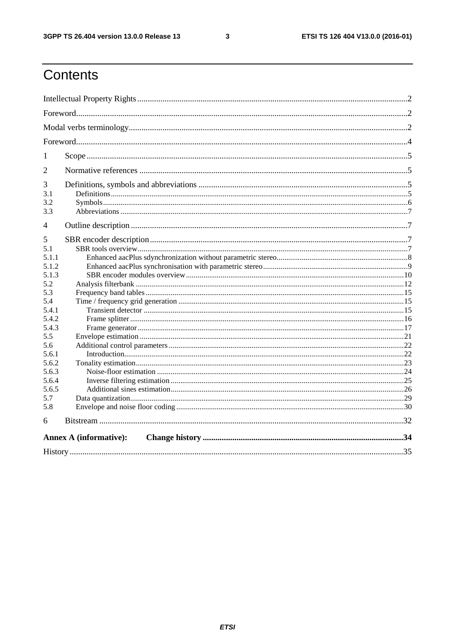$\mathbf{3}$ 

# Contents

| 1                             |  |  |  |  |  |  |
|-------------------------------|--|--|--|--|--|--|
| $\overline{2}$                |  |  |  |  |  |  |
| 3                             |  |  |  |  |  |  |
| 3.1                           |  |  |  |  |  |  |
| 3.2                           |  |  |  |  |  |  |
| 3.3                           |  |  |  |  |  |  |
| 4                             |  |  |  |  |  |  |
| 5                             |  |  |  |  |  |  |
| 5.1                           |  |  |  |  |  |  |
| 5.1.1                         |  |  |  |  |  |  |
| 5.1.2                         |  |  |  |  |  |  |
| 5.1.3                         |  |  |  |  |  |  |
| 5.2                           |  |  |  |  |  |  |
| 5.3                           |  |  |  |  |  |  |
| 5.4                           |  |  |  |  |  |  |
| 5.4.1                         |  |  |  |  |  |  |
| 5.4.2                         |  |  |  |  |  |  |
| 5.4.3                         |  |  |  |  |  |  |
| 5.5                           |  |  |  |  |  |  |
| 5.6                           |  |  |  |  |  |  |
| 5.6.1                         |  |  |  |  |  |  |
| 5.6.2                         |  |  |  |  |  |  |
| 5.6.3                         |  |  |  |  |  |  |
| 5.6.4                         |  |  |  |  |  |  |
| 5.6.5                         |  |  |  |  |  |  |
| 5.7                           |  |  |  |  |  |  |
| 5.8                           |  |  |  |  |  |  |
| 6                             |  |  |  |  |  |  |
| <b>Annex A (informative):</b> |  |  |  |  |  |  |
|                               |  |  |  |  |  |  |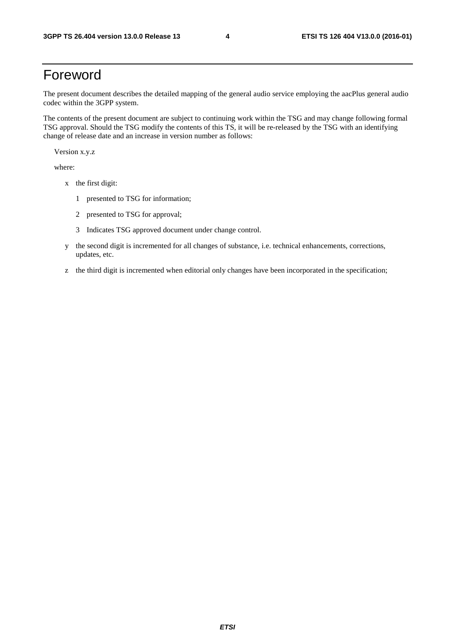# Foreword

The present document describes the detailed mapping of the general audio service employing the aacPlus general audio codec within the 3GPP system.

The contents of the present document are subject to continuing work within the TSG and may change following formal TSG approval. Should the TSG modify the contents of this TS, it will be re-released by the TSG with an identifying change of release date and an increase in version number as follows:

Version x.y.z

where:

- x the first digit:
	- 1 presented to TSG for information;
	- 2 presented to TSG for approval;
	- 3 Indicates TSG approved document under change control.
- y the second digit is incremented for all changes of substance, i.e. technical enhancements, corrections, updates, etc.
- z the third digit is incremented when editorial only changes have been incorporated in the specification;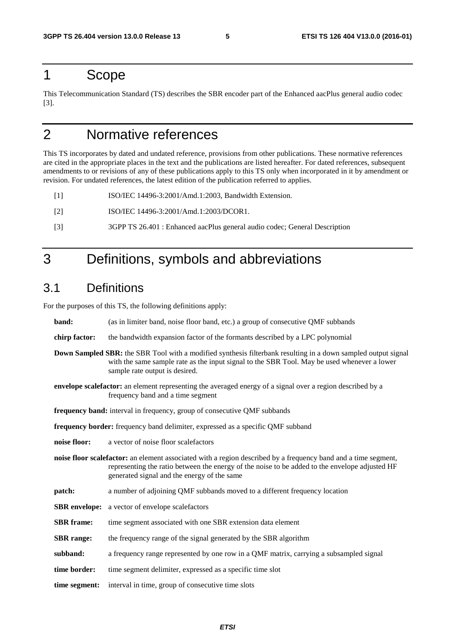### 1 Scope

This Telecommunication Standard (TS) describes the SBR encoder part of the Enhanced aacPlus general audio codec [3].

# 2 Normative references

This TS incorporates by dated and undated reference, provisions from other publications. These normative references are cited in the appropriate places in the text and the publications are listed hereafter. For dated references, subsequent amendments to or revisions of any of these publications apply to this TS only when incorporated in it by amendment or revision. For undated references, the latest edition of the publication referred to applies.

[1] ISO/IEC 14496-3:2001/Amd.1:2003, Bandwidth Extension.

- [2] ISO/IEC 14496-3:2001/Amd.1:2003/DCOR1.
- [3] 3GPP TS 26.401 : Enhanced aacPlus general audio codec; General Description

# 3 Definitions, symbols and abbreviations

### 3.1 Definitions

For the purposes of this TS, the following definitions apply:

| band:                                                                                                                                                                                                                                                 | (as in limiter band, noise floor band, etc.) a group of consecutive QMF subbands                                                                                                                                                                                |  |  |  |  |  |
|-------------------------------------------------------------------------------------------------------------------------------------------------------------------------------------------------------------------------------------------------------|-----------------------------------------------------------------------------------------------------------------------------------------------------------------------------------------------------------------------------------------------------------------|--|--|--|--|--|
| chirp factor:                                                                                                                                                                                                                                         | the bandwidth expansion factor of the formants described by a LPC polynomial                                                                                                                                                                                    |  |  |  |  |  |
| <b>Down Sampled SBR:</b> the SBR Tool with a modified synthesis filterbank resulting in a down sampled output signal<br>with the same sample rate as the input signal to the SBR Tool. May be used whenever a lower<br>sample rate output is desired. |                                                                                                                                                                                                                                                                 |  |  |  |  |  |
|                                                                                                                                                                                                                                                       | <b>envelope scalefactor:</b> an element representing the averaged energy of a signal over a region described by a<br>frequency band and a time segment                                                                                                          |  |  |  |  |  |
| frequency band: interval in frequency, group of consecutive QMF subbands                                                                                                                                                                              |                                                                                                                                                                                                                                                                 |  |  |  |  |  |
|                                                                                                                                                                                                                                                       | frequency border: frequency band delimiter, expressed as a specific QMF subband                                                                                                                                                                                 |  |  |  |  |  |
| noise floor:                                                                                                                                                                                                                                          | a vector of noise floor scalefactors                                                                                                                                                                                                                            |  |  |  |  |  |
|                                                                                                                                                                                                                                                       | noise floor scalefactor: an element associated with a region described by a frequency band and a time segment,<br>representing the ratio between the energy of the noise to be added to the envelope adjusted HF<br>generated signal and the energy of the same |  |  |  |  |  |
| patch:                                                                                                                                                                                                                                                | a number of adjoining QMF subbands moved to a different frequency location                                                                                                                                                                                      |  |  |  |  |  |
|                                                                                                                                                                                                                                                       | <b>SBR</b> envelope: a vector of envelope scalefactors                                                                                                                                                                                                          |  |  |  |  |  |
| <b>SBR</b> frame:                                                                                                                                                                                                                                     | time segment associated with one SBR extension data element                                                                                                                                                                                                     |  |  |  |  |  |
| <b>SBR</b> range:                                                                                                                                                                                                                                     | the frequency range of the signal generated by the SBR algorithm                                                                                                                                                                                                |  |  |  |  |  |
| subband:                                                                                                                                                                                                                                              | a frequency range represented by one row in a QMF matrix, carrying a subsampled signal                                                                                                                                                                          |  |  |  |  |  |
| time border:                                                                                                                                                                                                                                          | time segment delimiter, expressed as a specific time slot                                                                                                                                                                                                       |  |  |  |  |  |
| time segment:                                                                                                                                                                                                                                         | interval in time, group of consecutive time slots                                                                                                                                                                                                               |  |  |  |  |  |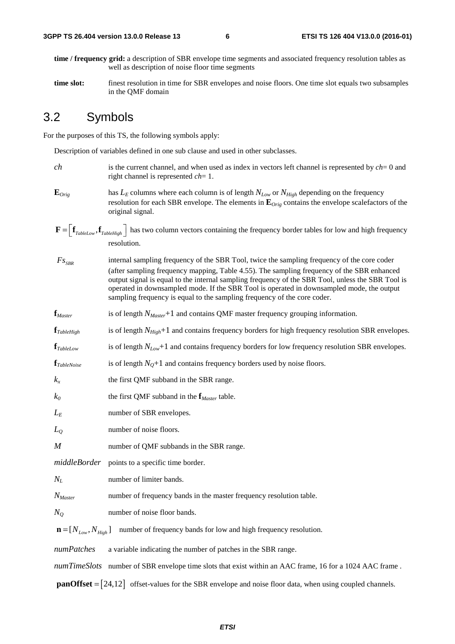- **time / frequency grid:** a description of SBR envelope time segments and associated frequency resolution tables as well as description of noise floor time segments
- **time slot:** finest resolution in time for SBR envelopes and noise floors. One time slot equals two subsamples in the QMF domain

### 3.2 Symbols

For the purposes of this TS, the following symbols apply:

Description of variables defined in one sub clause and used in other subclasses.

- *ch* is the current channel, and when used as index in vectors left channel is represented by *ch*= 0 and right channel is represented *ch*= 1.
- $\mathbf{E}_{Orig}$  has  $L_E$  columns where each column is of length  $N_{Low}$  or  $N_{High}$  depending on the frequency resolution for each SBR envelope. The elements in **E***Orig* contains the envelope scalefactors of the original signal.
- $\mathbf{F} = \left[ \mathbf{f}_{\text{TableLow}} , \mathbf{f}_{\text{TableHigh}} \right]$  has two column vectors containing the frequency border tables for low and high frequency resolution resolution.
- internal sampling frequency of the SBR Tool, twice the sampling frequency of the core coder (after sampling frequency mapping, Table 4.55). The sampling frequency of the SBR enhanced output signal is equal to the internal sampling frequency of the SBR Tool, unless the SBR Tool is operated in downsampled mode. If the SBR Tool is operated in downsampled mode, the output sampling frequency is equal to the sampling frequency of the core coder.  $Fs_{SBR}$
- **f***Master* is of length *NMaster*+1 and contains QMF master frequency grouping information.
- **f**<sub>*TableHigh* is of length *N<sub>High</sub>*+1 and contains frequency borders for high frequency resolution SBR envelopes.</sub>
- **f**<sub>*TableLow* is of length *N<sub>Low</sub>*+1 and contains frequency borders for low frequency resolution SBR envelopes.</sub>
- $f_{TableNoise}$  is of length  $N<sub>O</sub>+1$  and contains frequency borders used by noise floors.
- $k_x$  the first QMF subband in the SBR range.
- *k0* the first QMF subband in the **f***Master* table.
- *L<sub>E</sub>* number of SBR envelopes.
- *L*<sub>O</sub> number of noise floors.
- *M* number of QMF subbands in the SBR range.
- *middleBorder* points to a specific time border.
- *N<sub>L</sub>* number of limiter bands.
- *N<sub>Master</sub>* number of frequency bands in the master frequency resolution table.
- *N<sub>O</sub>* number of noise floor bands.

 $\mathbf{n} = [N_{Low}, N_{High}]$  number of frequency bands for low and high frequency resolution.

*numPatches* a variable indicating the number of patches in the SBR range.

*numTimeSlots* number of SBR envelope time slots that exist within an AAC frame, 16 for a 1024 AAC frame.

 $\text{panOffset} = \begin{bmatrix} 24.12 \end{bmatrix}$  offset-values for the SBR envelope and noise floor data, when using coupled channels.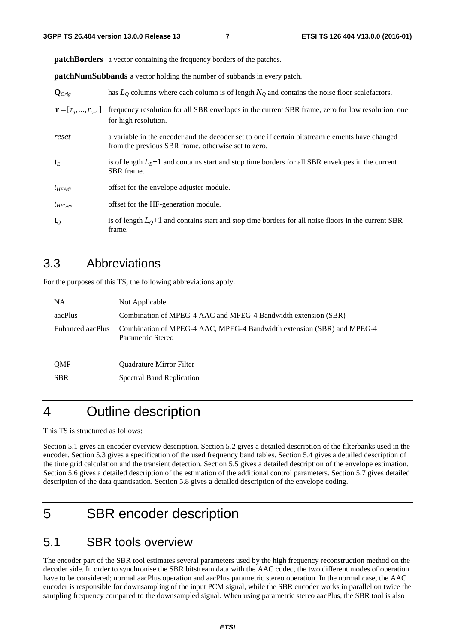**patchBorders** a vector containing the frequency borders of the patches.

**patchNumSubbands** a vector holding the number of subbands in every patch.

| $\mathbf{Q}_{Orig}$             | has $L_0$ columns where each column is of length $N_0$ and contains the noise floor scale factors.                                                     |
|---------------------------------|--------------------------------------------------------------------------------------------------------------------------------------------------------|
| $\mathbf{r} = [r_0, , r_{L-1}]$ | frequency resolution for all SBR envelopes in the current SBR frame, zero for low resolution, one<br>for high resolution.                              |
| reset                           | a variable in the encoder and the decoder set to one if certain bitstream elements have changed<br>from the previous SBR frame, otherwise set to zero. |
| $\mathbf{t}_E$                  | is of length $L_E+1$ and contains start and stop time borders for all SBR envelopes in the current<br>SBR frame.                                       |
| $t_{HFAdi}$                     | offset for the envelope adjuster module.                                                                                                               |
| $t_{HFGen}$                     | offset for the HF-generation module.                                                                                                                   |
| $\mathbf{t}_o$                  | is of length $L_0+1$ and contains start and stop time borders for all noise floors in the current SBR<br>frame.                                        |

### 3.3 Abbreviations

For the purposes of this TS, the following abbreviations apply.

| <b>NA</b>        | Not Applicable                                                                              |
|------------------|---------------------------------------------------------------------------------------------|
| aacPlus          | Combination of MPEG-4 AAC and MPEG-4 Bandwidth extension (SBR)                              |
| Enhanced aacPlus | Combination of MPEG-4 AAC, MPEG-4 Bandwidth extension (SBR) and MPEG-4<br>Parametric Stereo |
| <b>OMF</b>       | <b>Ouadrature Mirror Filter</b>                                                             |
| <b>SBR</b>       | <b>Spectral Band Replication</b>                                                            |

# 4 Outline description

This TS is structured as follows:

Section 5.1 gives an encoder overview description. Section 5.2 gives a detailed description of the filterbanks used in the encoder. Section 5.3 gives a specification of the used frequency band tables. Section 5.4 gives a detailed description of the time grid calculation and the transient detection. Section 5.5 gives a detailed description of the envelope estimation. Section 5.6 gives a detailed description of the estimation of the additional control parameters. Section 5.7 gives detailed description of the data quantisation. Section 5.8 gives a detailed description of the envelope coding.

# 5 SBR encoder description

### 5.1 SBR tools overview

The encoder part of the SBR tool estimates several parameters used by the high frequency reconstruction method on the decoder side. In order to synchronise the SBR bitstream data with the AAC codec, the two different modes of operation have to be considered; normal aacPlus operation and aacPlus parametric stereo operation. In the normal case, the AAC encoder is responsible for downsampling of the input PCM signal, while the SBR encoder works in parallel on twice the sampling frequency compared to the downsampled signal. When using parametric stereo aacPlus, the SBR tool is also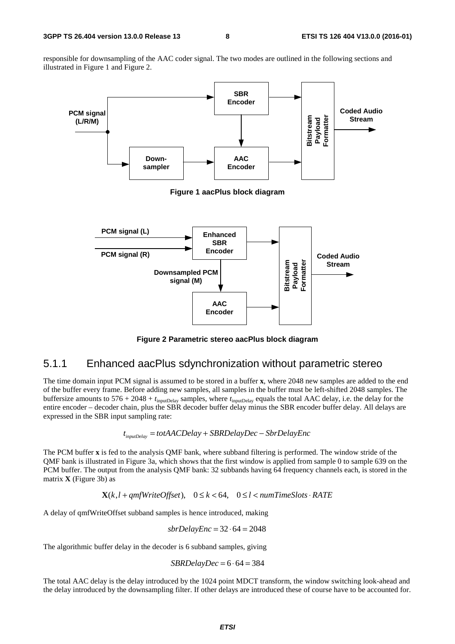responsible for downsampling of the AAC coder signal. The two modes are outlined in the following sections and illustrated in Figure 1 and Figure 2.



**Figure 2 Parametric stereo aacPlus block diagram** 

#### 5.1.1 Enhanced aacPlus sdynchronization without parametric stereo

The time domain input PCM signal is assumed to be stored in a buffer **x**, where 2048 new samples are added to the end of the buffer every frame. Before adding new samples, all samples in the buffer must be left-shifted 2048 samples. The buffersize amounts to 576 + 2048 + *t*inputDelay samples, where *t*inputDelay equals the total AAC delay, i.e. the delay for the entire encoder – decoder chain, plus the SBR decoder buffer delay minus the SBR encoder buffer delay. All delays are expressed in the SBR input sampling rate:

$$
t_{inputDelay} = totAACDelay + SBRDelayDec - SbrDelayEnc
$$

The PCM buffer **x** is fed to the analysis QMF bank, where subband filtering is performed. The window stride of the QMF bank is illustrated in Figure 3a, which shows that the first window is applied from sample 0 to sample 639 on the PCM buffer. The output from the analysis QMF bank: 32 subbands having 64 frequency channels each, is stored in the matrix **X** (Figure 3b) as

 $\mathbf{X}(k, l+qmfWriteOffset)$ ,  $0 \le k < 64$ ,  $0 \le l < numTimeSlots \cdot RATE$ 

A delay of qmfWriteOffset subband samples is hence introduced, making

$$
sbrDelayEnc = 32 \cdot 64 = 2048
$$

The algorithmic buffer delay in the decoder is 6 subband samples, giving

$$
SBRDelayDec = 6 \cdot 64 = 384
$$

The total AAC delay is the delay introduced by the 1024 point MDCT transform, the window switching look-ahead and the delay introduced by the downsampling filter. If other delays are introduced these of course have to be accounted for.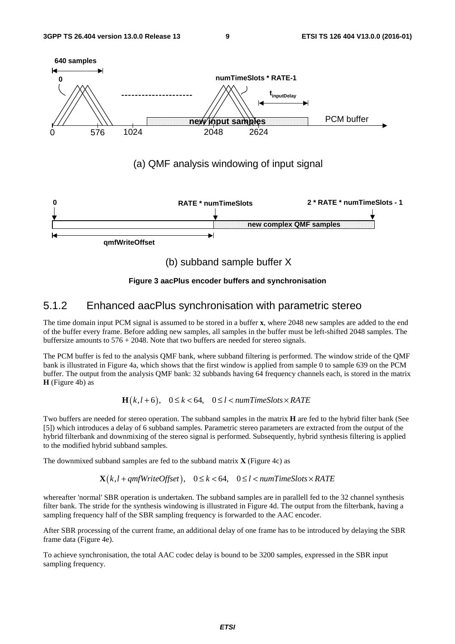

**Figure 3 aacPlus encoder buffers and synchronisation** 

#### 5.1.2 Enhanced aacPlus synchronisation with parametric stereo

The time domain input PCM signal is assumed to be stored in a buffer **x**, where 2048 new samples are added to the end of the buffer every frame. Before adding new samples, all samples in the buffer must be left-shifted 2048 samples. The buffersize amounts to 576 + 2048. Note that two buffers are needed for stereo signals.

The PCM buffer is fed to the analysis QMF bank, where subband filtering is performed. The window stride of the QMF bank is illustrated in Figure 4a, which shows that the first window is applied from sample 0 to sample 639 on the PCM buffer. The output from the analysis QMF bank: 32 subbands having 64 frequency channels each, is stored in the matrix **H** (Figure 4b) as

#### $\mathbf{H}(k, l+6)$ ,  $0 \le k < 64$ ,  $0 \le l < numTimeSlots \times RATE$

Two buffers are needed for stereo operation. The subband samples in the matrix **H** are fed to the hybrid filter bank (See [5]) which introduces a delay of 6 subband samples. Parametric stereo parameters are extracted from the output of the hybrid filterbank and downmixing of the stereo signal is performed. Subsequently, hybrid synthesis filtering is applied to the modified hybrid subband samples.

The downmixed subband samples are fed to the subband matrix **X** (Figure 4c) as

 $\mathbf{X}(k, l + qmfWriteOffset), \quad 0 \le k < 64, \quad 0 \le l < numTimeSlots \times RATE$ 

whereafter 'normal' SBR operation is undertaken. The subband samples are in parallell fed to the 32 channel synthesis filter bank. The stride for the synthesis windowing is illustrated in Figure 4d. The output from the filterbank, having a sampling frequency half of the SBR sampling frequency is forwarded to the AAC encoder.

After SBR processing of the current frame, an additional delay of one frame has to be introduced by delaying the SBR frame data (Figure 4e).

To achieve synchronisation, the total AAC codec delay is bound to be 3200 samples, expressed in the SBR input sampling frequency.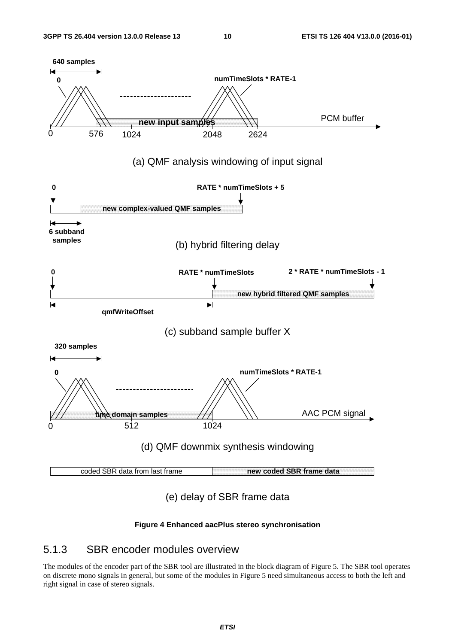

#### **Figure 4 Enhanced aacPlus stereo synchronisation**

### 5.1.3 SBR encoder modules overview

The modules of the encoder part of the SBR tool are illustrated in the block diagram of Figure 5. The SBR tool operates on discrete mono signals in general, but some of the modules in Figure 5 need simultaneous access to both the left and right signal in case of stereo signals.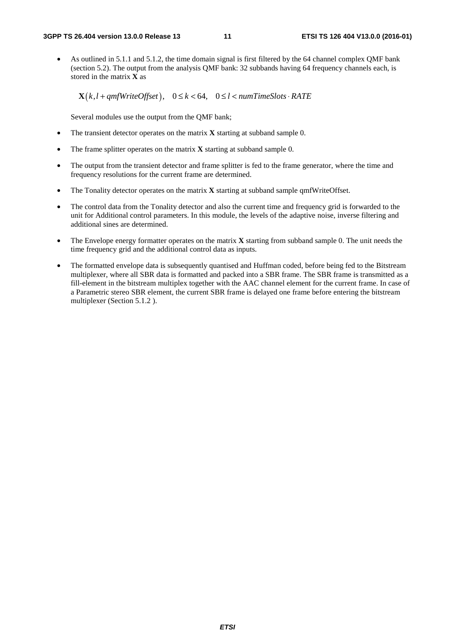• As outlined in 5.1.1 and 5.1.2, the time domain signal is first filtered by the 64 channel complex QMF bank (section 5.2). The output from the analysis QMF bank: 32 subbands having 64 frequency channels each, is stored in the matrix **X** as

 $\mathbf{X}(k, l + qmfWriteOffset), \quad 0 \le k < 64, \quad 0 \le l < numTimeSlots \cdot RATE$ 

Several modules use the output from the QMF bank;

- The transient detector operates on the matrix **X** starting at subband sample 0.
- The frame splitter operates on the matrix **X** starting at subband sample 0.
- The output from the transient detector and frame splitter is fed to the frame generator, where the time and frequency resolutions for the current frame are determined.
- The Tonality detector operates on the matrix **X** starting at subband sample qmfWriteOffset.
- The control data from the Tonality detector and also the current time and frequency grid is forwarded to the unit for Additional control parameters. In this module, the levels of the adaptive noise, inverse filtering and additional sines are determined.
- The Envelope energy formatter operates on the matrix **X** starting from subband sample 0. The unit needs the time frequency grid and the additional control data as inputs.
- The formatted envelope data is subsequently quantised and Huffman coded, before being fed to the Bitstream multiplexer, where all SBR data is formatted and packed into a SBR frame. The SBR frame is transmitted as a fill-element in the bitstream multiplex together with the AAC channel element for the current frame. In case of a Parametric stereo SBR element, the current SBR frame is delayed one frame before entering the bitstream multiplexer (Section 5.1.2 ).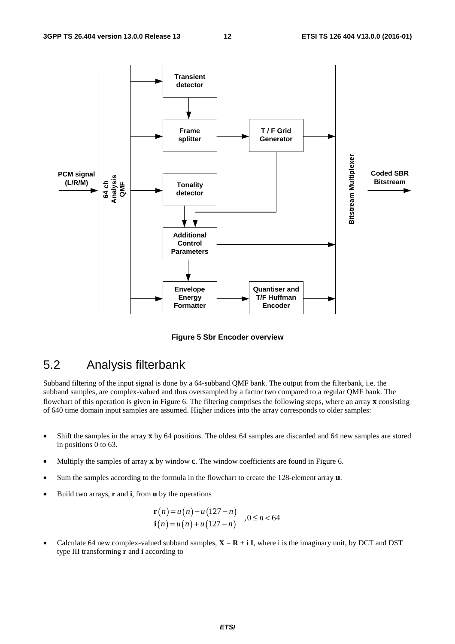

**Figure 5 Sbr Encoder overview** 

### 5.2 Analysis filterbank

Subband filtering of the input signal is done by a 64-subband QMF bank. The output from the filterbank, i.e. the subband samples, are complex-valued and thus oversampled by a factor two compared to a regular QMF bank. The flowchart of this operation is given in Figure 6. The filtering comprises the following steps, where an array **x** consisting of 640 time domain input samples are assumed. Higher indices into the array corresponds to older samples:

- Shift the samples in the array **x** by 64 positions. The oldest 64 samples are discarded and 64 new samples are stored in positions 0 to 63.
- Multiply the samples of array **x** by window **c**. The window coefficients are found in Figure 6.
- Sum the samples according to the formula in the flowchart to create the 128-element array **u**.
- Build two arrays, **r** and **i**, from **u** by the operations

$$
\mathbf{r}(n) = u(n) - u(127 - n)
$$
  
\n
$$
\mathbf{i}(n) = u(n) + u(127 - n)
$$
,  $0 \le n < 64$ 

Calculate 64 new complex-valued subband samples,  $X = R + iI$ , where i is the imaginary unit, by DCT and DST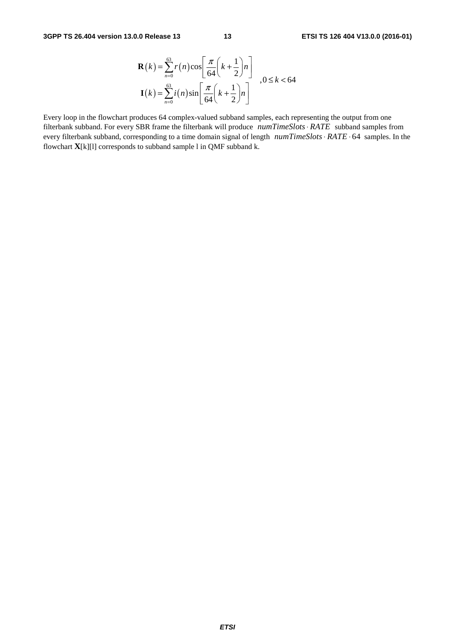$$
\mathbf{R}(k) = \sum_{n=0}^{63} r(n) \cos\left[\frac{\pi}{64}\left(k + \frac{1}{2}\right)n\right]
$$
  

$$
\mathbf{I}(k) = \sum_{n=0}^{63} i(n) \sin\left[\frac{\pi}{64}\left(k + \frac{1}{2}\right)n\right]
$$

Every loop in the flowchart produces 64 complex-valued subband samples, each representing the output from one filterbank subband. For every SBR frame the filterbank will produce *numTimeSlots · RATE* subband samples from every filterbank subband, corresponding to a time domain signal of length *numTimeSlots*  $RATE \cdot 64$  samples. In the flowchart  $\mathbf{X}[k][1]$  corresponds to subband sample l in QMF subband k.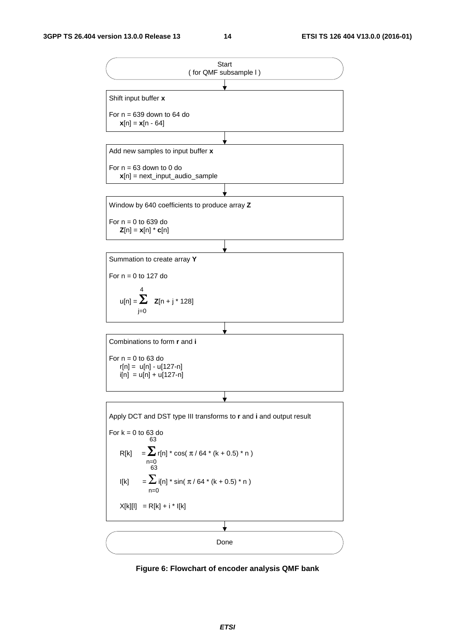

**Figure 6: Flowchart of encoder analysis QMF bank**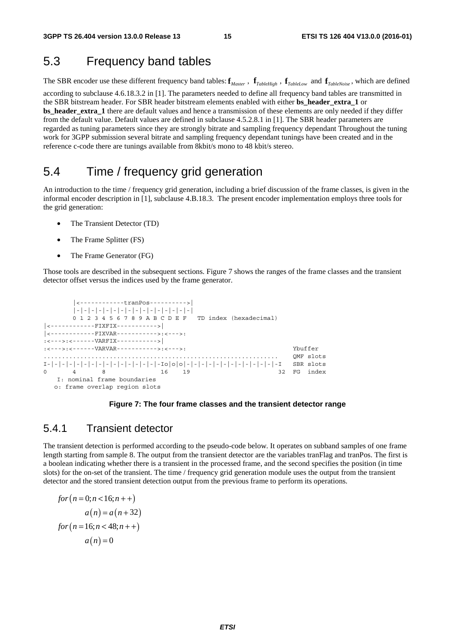### 5.3 Frequency band tables

The SBR encoder use these different frequency band tables:  $\mathbf{f}_{\text{Master}}$ ,  $\mathbf{f}_{\text{TableHigh}}$ ,  $\mathbf{f}_{\text{TableLow}}$  and  $\mathbf{f}_{\text{TableNoise}}$ , which are defined according to subclause 4.6.18.3.2 in [1]. The parameters needed to define all frequency band tables are transmitted in the SBR bitstream header. For SBR header bitstream elements enabled with either **bs\_header\_extra\_1** or **bs\_header\_extra\_1** there are default values and hence a transmission of these elements are only needed if they differ from the default value. Default values are defined in subclause 4.5.2.8.1 in [1]. The SBR header parameters are regarded as tuning parameters since they are strongly bitrate and sampling frequency dependant Throughout the tuning work for 3GPP submission several bitrate and sampling frequency dependant tunings have been created and in the reference c-code there are tunings available from 8kbit/s mono to 48 kbit/s stereo.

### 5.4 Time / frequency grid generation

An introduction to the time / frequency grid generation, including a brief discussion of the frame classes, is given in the informal encoder description in [1], subclause 4.B.18.3. The present encoder implementation employs three tools for the grid generation:

- The Transient Detector (TD)
- The Frame Splitter (FS)
- The Frame Generator (FG)

Those tools are described in the subsequent sections. Figure 7 shows the ranges of the frame classes and the transient detector offset versus the indices used by the frame generator.

```
 |<------------tranPos---------->| 
         |-|-|-|-|-|-|-|-|-|-|-|-|-|-|-|-| 
         0 1 2 3 4 5 6 7 8 9 A B C D E F TD index (hexadecimal) 
     |<------------FIXFIX----------->| 
|<------------FIXVAR----------->:<--->: 
.<br>:<--->:<------VARFIX----------->|
:<--->:<------VARVAR----------->:<--->: Ybuffer 
................................................................ QMF slots 
\mathbf{I}-|-|-|-|-|-|-|-|-|-|-|-|-|-|-1-\mathbf{I}\circ|\circ|\circ|-|-|-|-|-|-|-|-|-|-|-|-|-|-|-|-1 \qquad \text{SBR } \mathtt{slot} \mathtt{s}8 16 19 32 FG index
    I: nominal frame boundaries 
   o: frame overlap region slots
```
#### **Figure 7: The four frame classes and the transient detector range**

#### 5.4.1 Transient detector

The transient detection is performed according to the pseudo-code below. It operates on subband samples of one frame length starting from sample 8. The output from the transient detector are the variables tranFlag and tranPos. The first is a boolean indicating whether there is a transient in the processed frame, and the second specifies the position (in time slots) for the on-set of the transient. The time / frequency grid generation module uses the output from the transient detector and the stored transient detection output from the previous frame to perform its operations.

$$
for (n = 0; n < 16; n++)
$$
  
a(n) = a(n+32)  
for (n = 16; n < 48; n++)  
a(n) = 0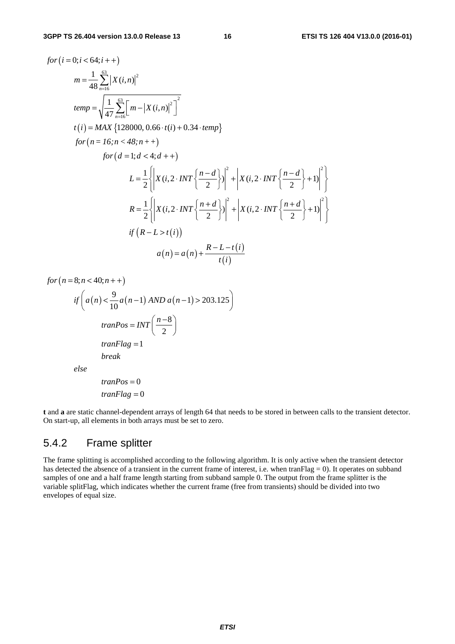$$
for (i = 0; i < 64; i++)
$$
\n
$$
m = \frac{1}{48} \sum_{n=16}^{63} |X(i, n)|^2
$$
\n
$$
temp = \sqrt{\frac{1}{47} \sum_{n=16}^{63} [m - |X(i, n)|^2]^2}
$$
\n
$$
t(i) = MAX \{128000, 0.66 \cdot t(i) + 0.34 \cdot temp\}
$$
\n
$$
for (n = 16; n < 48; n++)
$$
\n
$$
for (d = 1; d < 4; d++)
$$
\n
$$
L = \frac{1}{2} \left\{ \left| X(i, 2 \cdot INT \left\{ \frac{n - d}{2} \right\} \right|^2 + \left| X(i, 2 \cdot INT \left\{ \frac{n - d}{2} \right\} + 1 \right|^2 \right\}
$$
\n
$$
R = \frac{1}{2} \left\{ \left| X(i, 2 \cdot INT \left\{ \frac{n + d}{2} \right\} \right|^2 + \left| X(i, 2 \cdot INT \left\{ \frac{n + d}{2} \right\} + 1 \right|^2 \right\}
$$
\n
$$
if (R - L > t(i))
$$
\n
$$
a(n) = a(n) + \frac{R - L - t(i)}{t(i)}
$$

 $for (n = 8; n < 40; n++)$ 

$$
if\left(a(n) < \frac{9}{10}a(n-1) \text{ AND } a(n-1) > 203.125\right)
$$
\n
$$
tranPos = INT\left(\frac{n-8}{2}\right)
$$
\n
$$
tranFlag = 1
$$
\n
$$
break
$$
\n
$$
else
$$
\n
$$
tranPos = 0
$$

0 *tranFlag* =

**t** and **a** are static channel-dependent arrays of length 64 that needs to be stored in between calls to the transient detector. On start-up, all elements in both arrays must be set to zero.

### 5.4.2 Frame splitter

The frame splitting is accomplished according to the following algorithm. It is only active when the transient detector has detected the absence of a transient in the current frame of interest, i.e. when tranFlag = 0). It operates on subband samples of one and a half frame length starting from subband sample 0. The output from the frame splitter is the variable splitFlag, which indicates whether the current frame (free from transients) should be divided into two envelopes of equal size.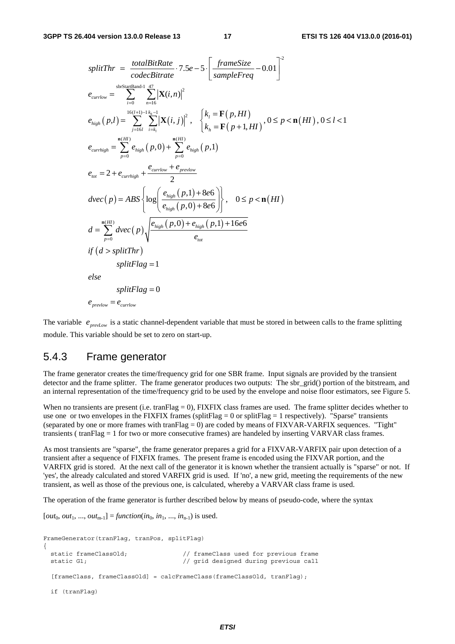$$
splitThr = \frac{totalBitRate}{codeBitrate} \cdot 7.5e - 5 \cdot \left[ \frac{frameSize}{sampleFreq} - 0.01 \right]^2
$$
\n
$$
e_{currlow} = \sum_{i=0}^{s \text{btsatrBand-1}} \sum_{n=16}^{47} |\mathbf{X}(i,n)|^2
$$
\n
$$
e_{high}(p,l) = \sum_{j=16l}^{16(l+1)-1} \sum_{i=k_1}^{k_0-1} |\mathbf{X}(i,j)|^2, \quad \begin{cases} k_l = \mathbf{F}(p,HI) \\ k_n = \mathbf{F}(p+1,HI) \end{cases}, 0 \le p < \mathbf{n}(HI), 0 \le l < 1
$$
\n
$$
e_{currhigh} = \sum_{p=0}^{n(H)} e_{high}(p,0) + \sum_{p=0}^{n(H)} e_{high}(p,1)
$$
\n
$$
e_{tot} = 2 + e_{currhigh} + \frac{e_{currlow} + e_{prelow}}{2}
$$
\n
$$
dvec(p) = ABS \left\{ log \left( \frac{e_{high}(p,1) + 8e6}{e_{high}(p,0) + 8e6} \right) \right\}, \quad 0 \le p < \mathbf{n}(HI)
$$
\n
$$
d = \sum_{p=0}^{\mathbf{n}(HI)} dvec(p) \sqrt{\frac{e_{high}(p,0) + e_{high}(p,1) + 16e6}{e_{tot}}}
$$
\n
$$
if (d > splitThr)
$$
\n
$$
splitFlag = 1
$$
\n
$$
else
$$
\n
$$
splitFlag = 0
$$
\n
$$
e_{prevlow} = e_{currlow}
$$

The variable  $e_{prevLow}$  is a static channel-dependent variable that must be stored in between calls to the frame splitting module. This variable should be set to zero on start-up.

#### 5.4.3 Frame generator

The frame generator creates the time/frequency grid for one SBR frame. Input signals are provided by the transient detector and the frame splitter. The frame generator produces two outputs: The sbr\_grid() portion of the bitstream, and an internal representation of the time/frequency grid to be used by the envelope and noise floor estimators, see Figure 5.

When no transients are present (i.e. tranFlag = 0), FIXFIX class frames are used. The frame splitter decides whether to use one or two envelopes in the FIXFIX frames (splitFlag = 0 or splitFlag = 1 respectively). "Sparse" transients (separated by one or more frames with tranFlag  $= 0$ ) are coded by means of FIXVAR-VARFIX sequences. "Tight" transients ( tranFlag = 1 for two or more consecutive frames) are handeled by inserting VARVAR class frames.

As most transients are "sparse", the frame generator prepares a grid for a FIXVAR-VARFIX pair upon detection of a transient after a sequence of FIXFIX frames. The present frame is encoded using the FIXVAR portion, and the VARFIX grid is stored. At the next call of the generator it is known whether the transient actually is "sparse" or not. If 'yes', the already calculated and stored VARFIX grid is used. If 'no', a new grid, meeting the requirements of the new transient, as well as those of the previous one, is calculated, whereby a VARVAR class frame is used.

The operation of the frame generator is further described below by means of pseudo-code, where the syntax

 $[out_0, out_1, ..., out_{m-1}] = function(in_0, in_1, ..., in_{n-1})$  is used.

```
FrameGenerator(tranFlag, tranPos, splitFlag) 
{ 
  static frameClassOld; // frameClass used for previous frame 
 static G1; \frac{1}{2} // grid designed during previous call
  [frameClass, frameClassOld] = calcFrameClass(frameClassOld, tranFlag);
  if (tranFlag)
```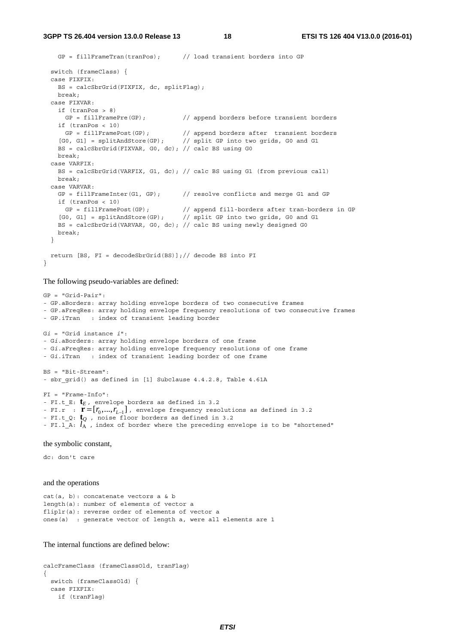**3GPP TS 26.404 version 13.0.0 Release 13 18 ETSI TS 126 404 V13.0.0 (2016-01)**

```
 GP = fillFrameTran(tranPos); // load transient borders into GP 
  switch (frameClass) { 
  case FIXFIX: 
    BS = calcSbrGrid(FIXFIX, dc, splitFlag); 
    break; 
  case FIXVAR: 
    if (tranPos > 8) 
     GP = fillFramePre(GP); // append borders before transient borders
    if (tranPos < 10) 
 GP = fillFramePost(GP); // append borders after transient borders 
 [G0, G1] = splitAndStore(GP); // split GP into two grids, G0 and G1 
   BS = calcSbrGrid(FIXVAR, G0, dc); // calc BS using G0
    break; 
  case VARFIX: 
    BS = calcSbrGrid(VARFIX, G1, dc); // calc BS using G1 (from previous call) 
    break; 
  case VARVAR: 
   GP = fillFrameInter(G1, GP); // resolve conflicts and merge G1 and GP
    if (tranPos < 10) 
 GP = fillFramePost(GP); // append fill-borders after tran-borders in GP 
 [G0, G1] = splitAndStore(GP); // split GP into two grids, G0 and G1 
    BS = calcSbrGrid(VARVAR, G0, dc); // calc BS using newly designed G0 
    break; 
  } 
  return [BS, FI = decodeSbrGrid(BS)];// decode BS into FI 
}
```
The following pseudo-variables are defined:

```
GP = "Grid-Pair": 
- GP.aBorders: array holding envelope borders of two consecutive frames 
- GP.aFreqRes: array holding envelope frequency resolutions of two consecutive frames 
- GP.iTran : index of transient leading border 
Gi = "Grid instance i": 
- Gi.aBorders: array holding envelope borders of one frame 
- Gi.aFreqRes: array holding envelope frequency resolutions of one frame 
- Gi.iTran : index of transient leading border of one frame 
BS = "Bit-Stream": 
- sbr grid() as defined in [1] Subclause 4.4.2.8, Table 4.61A
FI = "Frame-Info": 
- FI.t_E: tE , envelope borders as defined in 3.2 
- FI.r : \mathbf{r} = [r_0, ..., r_{L-1}], envelope frequency resolutions as defined in 3.2
- FI.t_Q: tQ , noise floor borders as defined in 3.2 
- FI.1 A: l_A, index of border where the preceding envelope is to be "shortened"
```
the symbolic constant,

dc: don't care

and the operations

```
cat(a, b): concatenate vectors a & b 
length(a): number of elements of vector a 
fliplr(a): reverse order of elements of vector a 
ones(a) : generate vector of length a, were all elements are 1
```
The internal functions are defined below:

```
calcFrameClass (frameClassOld, tranFlag) 
{ 
   switch (frameClassOld) { 
   case FIXFIX: 
     if (tranFlag)
```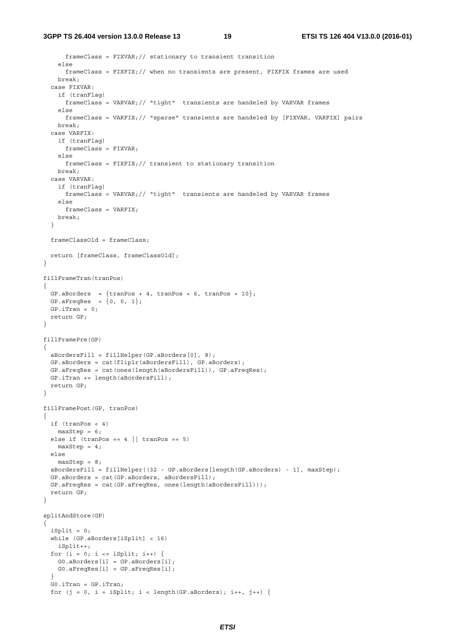```
 frameClass = FIXVAR;// stationary to transient transition 
     else 
       frameClass = FIXFIX;// when no transients are present, FIXFIX frames are used 
     break; 
   case FIXVAR: 
     if (tranFlag) 
       frameClass = VARVAR;// "tight" transients are handeled by VARVAR frames 
     else 
      frameClass = VARFIX;// "sparse" transients are handeled by [FIXVAR, VARFIX] pairs 
     break; 
   case VARFIX: 
     if (tranFlag) 
      frameClass = FIXVAR; 
     else 
     frameClass = FIXFIX:// transient to stationary transition
    break; 
   case VARVAR: 
    if (tranFlag) 
      frameClass = VARVAR;// "tight" transients are handeled by VARVAR frames 
     else 
      frameClass = VARFIX; 
    break; 
   } 
   frameClassOld = frameClass; 
   return [frameClass, frameClassOld]; 
} 
fillFrameTran(tranPos) 
{ 
 GP.aBorders = \{tranPos + 4, tranPos + 6, tranPos + 10\};
 GP.aFreqRes = \{0, 0, 1\};
 GP.irran = 0; return GP; 
} 
fillFramePre(GP) 
{ 
   aBordersFill = fillHelper(GP.aBorders[0], 8); 
  GP.aBorders = cat(fliplr(aBordersFill), GP.aBorders); 
   GP.aFreqRes = cat(ones(length(aBordersFill)), GP.aFreqRes); 
  GP.iTran += length(aBordersFill); 
   return GP; 
} 
fillFramePost(GP, tranPos) 
{ 
  if (tranPos < 4) 
   maxStep = 6;else if (tranPos == 4 | | tranPos == 5)maxStep = 4; else 
   maxStep = 8;
   aBordersFill = fillHelper((32 - GP.aBorders[length(GP.aBorders) - 1], maxStep); 
   GP.aBorders = cat(GP.aBorders, aBordersFill); 
   GP.aFreqRes = cat(GP.aFreqRes, ones(length(aBordersFill))); 
   return GP; 
} 
splitAndStore(GP) 
{ 
  iSplit = 0; while (GP.aBorders[iSplit] < 16) 
     iSplit++; 
  for (i = 0; i \le i \text{Split}; i++) G0.aBorders[i] = GP.aBorders[i]; 
    G0.aFreqRes[i] = GP.aFreqRes[i]; 
 } 
   G0.iTran = GP.iTran; 
  for (j = 0, i = iSplit; i < length(GP.aBorders); i++, j++) {
```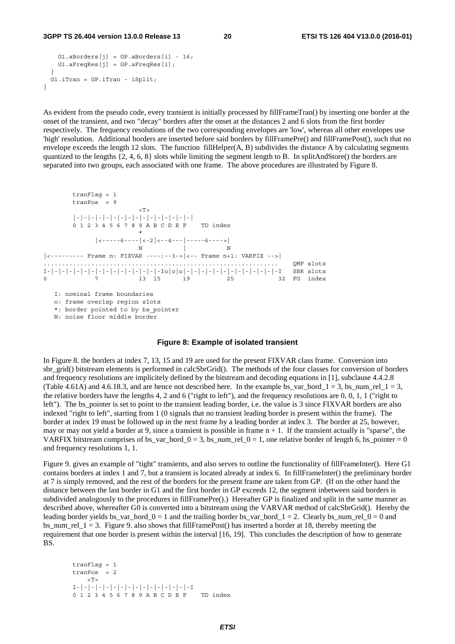```
G1.aBorders[i] = GP.aBorders[i] - 16;G1.aFreqRes[j] = GP.aFreqRes[i]; } 
  G1.iTran = GP.iTran - iSplit; 
}
```
As evident from the pseudo code, every transient is initially processed by fillFrameTran() by inserting one border at the onset of the transient, and two "decay" borders after the onset at the distances 2 and 6 slots from the first border respectively. The frequency resolutions of the two corresponding envelopes are 'low', whereas all other envelopes use 'high' resolution. Additional borders are inserted before said borders by fillFramePre() and fillFramePost(), such that no envelope exceeds the length 12 slots. The function fillHelper( $A$ ,  $B$ ) subdivides the distance  $A$  by calculating segments quantized to the lengths  $\{2, 4, 6, 8\}$  slots while limiting the segment length to B. In splitAndStore() the borders are separated into two groups, each associated with one frame. The above procedures are illustrated by Figure 8.

```
 tranFlag = 1 
      tranPos = 9 
\rm <\! T\!> |-|-|-|-|-|-|-|-|-|-|-|-|-|-|-|-| 
      0 1 2 3 4 5 6 7 8 9 A B C D E F TD index 
\star |<-----6----|<-2|<--4---|-----6---->| 
N N N
|<--------- Frame n: FIXVAR ----:--3->|<-- Frame n+1: VARFIX -->| 
 ................................................................ QMF slots 
I-|-|-|-|-|-|-|-|-|-|-|-|-|-|-|-Io|o|o|-|-|-|-|-|-|-|-|-|-|-|-|-I SBR slots 
0 7 13 15 19 25 32 FG index
```
I: nominal frame boundaries

o: frame overlap region slots

\*: border pointed to by bs\_pointer

N: noise floor middle border

#### **Figure 8: Example of isolated transient**

In Figure 8. the borders at index 7, 13, 15 and 19 are used for the present FIXVAR class frame. Conversion into sbr\_grid() bitstream elements is performed in calcSbrGrid(). The methods of the four classes for conversion of borders and frequency resolutions are implicitely defined by the bitstream and decoding equations in [1], subclause 4.4.2.8 (Table 4.61A) and 4.6.18.3, and are hence not described here. In the example bs\_var\_bord\_1 = 3, bs\_num\_rel\_1 = 3, the relative borders have the lengths 4, 2 and 6 ("right to left"), and the frequency resolutions are 0, 0, 1, 1 ("right to left"). The bs\_pointer is set to point to the transient leading border, i.e. the value is 3 since FIXVAR borders are also indexed "right to left", starting from 1 (0 signals that no transient leading border is present within the frame). The border at index 19 must be followed up in the next frame by a leading border at index 3. The border at 25, however, may or may not yield a border at 9, since a transient is possible in frame  $n + 1$ . If the transient actually is "sparse", the VARFIX bitstream comprises of bs\_var\_bord\_0 = 3, bs\_num\_rel\_0 = 1, one relative border of length 6, bs\_pointer = 0 and frequency resolutions 1, 1.

Figure 9. gives an example of "tight" transients, and also serves to outline the functionality of fillFrameInter(). Here G1 contains borders at index 1 and 7, but a transient is located already at index 6. In fillFrameInter() the preliminary border at 7 is simply removed, and the rest of the borders for the present frame are taken from GP. (If on the other hand the distance between the last border in G1 and the first border in GP exceeds 12, the segment inbetween said borders is subdivided analogously to the procedures in fillFramePre().) Hereafter GP is finalized and split in the same manner as described above, whereafter G0 is converted into a bitstream using the VARVAR method of calcSbrGrid(). Hereby the leading border yields bs\_var\_bord\_0 = 1 and the trailing border bs\_var\_bord\_1 = 2. Clearly bs\_num\_rel\_0 = 0 and bs num rel  $1 = 3$ . Figure 9. also shows that fillFramePost() has inserted a border at 18, thereby meeting the requirement that one border is present within the interval [16, 19]. This concludes the description of how to generate BS.

```
 tranFlag = 1 
 tranPos = 2 
    \langle T \rangle I-|-|-|-|-|-|-|-|-|-|-|-|-|-|-|-I 
 0 1 2 3 4 5 6 7 8 9 A B C D E F TD index
```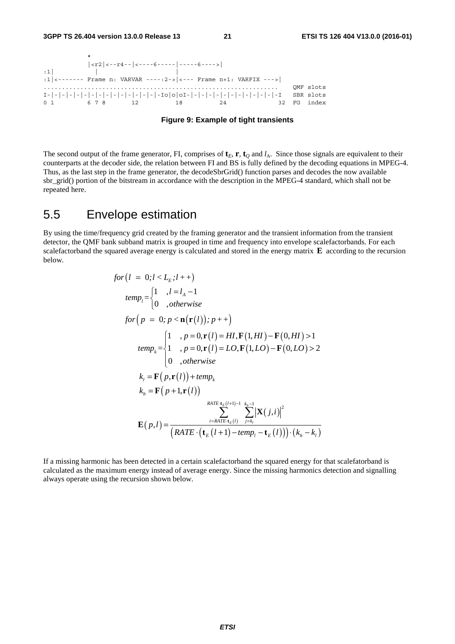

**Figure 9: Example of tight transients** 

The second output of the frame generator, FI, comprises of  $\mathbf{t}_E$ ,  $\mathbf{r}$ ,  $\mathbf{t}_O$  and  $l_A$ . Since those signals are equivalent to their counterparts at the decoder side, the relation between FI and BS is fully defined by the decoding equations in MPEG-4. Thus, as the last step in the frame generator, the decodeSbrGrid() function parses and decodes the now available sbr\_grid() portion of the bitstream in accordance with the description in the MPEG-4 standard, which shall not be repeated here.

### 5.5 Envelope estimation

By using the time/frequency grid created by the framing generator and the transient information from the transient detector, the QMF bank subband matrix is grouped in time and frequency into envelope scalefactorbands. For each scalefactorband the squared average energy is calculated and stored in the energy matrix **E** according to the recursion below.

$$
for (l = 0; l < L_E; l++)
$$
\n
$$
temp_l = \begin{cases} 1, & l = l_A - 1 \\ 0, & otherwise \end{cases}
$$
\n
$$
for (p = 0; p < \mathbf{n}(\mathbf{r}(l)); p++)
$$
\n
$$
temp_k = \begin{cases} 1, & p = 0, \mathbf{r}(l) = HI, \mathbf{F}(1, HI) - \mathbf{F}(0, HI) > 1 \\ 1, & p = 0, \mathbf{r}(l) = LO, \mathbf{F}(1, LO) - \mathbf{F}(0, LO) > 2 \\ 0, & otherwise \end{cases}
$$
\n
$$
k_l = \mathbf{F}(p, \mathbf{r}(l)) + temp_k
$$
\n
$$
k_h = \mathbf{F}(p + 1, \mathbf{r}(l))
$$
\n
$$
RATE + t_E(l+1) - 1 = k_h - 1 = k_h - 1 = k_h - 1 = k_h - 1 = k_h - 1 = k_h - 1 = k_h - 1 = k_h - 1 = k_h - 1 = k_h - 1 = k_h - 1 = k_h - 1 = k_h - 1 = k_h - 1 = k_h - 1 = k_h - 1 = k_h - 1 = k_h - 1 = k_h - 1 = k_h - 1 = k_h - 1 = k_h - 1 = k_h - 1 = k_h - 1 = k_h - 1 = k_h - 1 = k_h - 1 = k_h - 1 = k_h - 1 = k_h - 1 = k_h - 1 = k_h - 1 = k_h - 1 = k_h - 1 = k_h - 1 = k_h - 1 = k_h - 1 = k_h - 1 = k_h - 1 = k_h - 1 = k_h - 1 = k_h - 1 = k_h - 1 = k_h - 1 = k_h - 1 = k_h - 1 = k_h - 1 = k_h - 1 = k_h - 1 = k_h - 1 = k_h - 1 = k_h - 1 = k_h - 1 = k_h - 1 = k_h - 1 = k_h - 1 = k_h - 1 = k_h - 1 = k_h - 1 = k_h - 1 = k_h - 1 = k_h - 1 = k_h - 1 = k_h - 1 = k_h - 1 = k_h - 1 = k_h - 1 = k_h - 1 = k_h - 1 = k_h - 1 = k_h - 1 = k_h - 1 = k_h - 1 = k_h - 1 = k_h - 1 =
$$

If a missing harmonic has been detected in a certain scalefactorband the squared energy for that scalefatorband is calculated as the maximum energy instead of average energy. Since the missing harmonics detection and signalling always operate using the recursion shown below.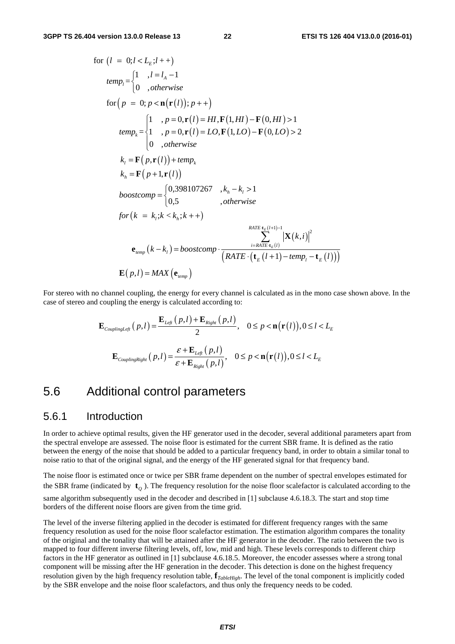for 
$$
(l = 0; l < L_E; l + +)
$$
  
\n
$$
temp_l = \begin{cases}\n1 & , l = l_A - 1 \\
0 & , otherwise\n\end{cases}
$$
\nfor  $(p = 0; p < n(\mathbf{r}(l)); p + +)$   
\n
$$
temp_k = \begin{cases}\n1 & , p = 0, \mathbf{r}(l) = HI, \mathbf{F}(1, HI) - \mathbf{F}(0, HI) > 1 \\
1 & , p = 0, \mathbf{r}(l) = LO, \mathbf{F}(1, LO) - \mathbf{F}(0, LO) > 2\n\end{cases}
$$
\n
$$
k_l = \mathbf{F}(p, \mathbf{r}(l)) + temp_k
$$
\n
$$
k_h = \mathbf{F}(p + 1, \mathbf{r}(l))
$$
\n
$$
boostcomp = \begin{cases}\n0,398107267 & , k_h - k_l > 1 \\
0,5 & , otherwise\n\end{cases}
$$
\n
$$
for (k = k_l; k < k_h; k++)
$$
\n
$$
F_{\text{ATE} \cdot \mathbf{r}(k+1) - 1} = \sum_{i = RATE + k_l(l+1) - 1}^{RATE + k_l(l+1) - 1} |\mathbf{X}(k, i)|^2
$$
\n
$$
\mathbf{e}_{temp} (k - k_l) = boostcomp \cdot \frac{\sum_{i = RATE + k_l(l)}^{RATE + k_l(l+1) - 1} |\mathbf{X}(k, i)|^2}{(\text{RATE} \cdot (\mathbf{t}_E(l+1) - temp_l - \mathbf{t}_E(l)))}
$$

For stereo with no channel coupling, the energy for every channel is calculated as in the mono case shown above. In the case of stereo and coupling the energy is calculated according to:

$$
\mathbf{E}_{\textit{couplingLeft}}\left(p, l\right) = \frac{\mathbf{E}_{\textit{Left}}\left(p, l\right) + \mathbf{E}_{\textit{Right}}\left(p, l\right)}{2}, \quad 0 \le p < \mathbf{n}\big(\mathbf{r}\big(l\big)\big), 0 \le l < L_{\textit{E}}
$$
\n
$$
\mathbf{E}_{\textit{couplingRight}}\left(p, l\right) = \frac{\varepsilon + \mathbf{E}_{\textit{Left}}\left(p, l\right)}{\varepsilon + \mathbf{E}_{\textit{Right}}\left(p, l\right)}, \quad 0 \le p < \mathbf{n}\big(\mathbf{r}\big(l\big)\big), 0 \le l < L_{\textit{E}}
$$

### 5.6 Additional control parameters

#### 5.6.1 Introduction

In order to achieve optimal results, given the HF generator used in the decoder, several additional parameters apart from the spectral envelope are assessed. The noise floor is estimated for the current SBR frame. It is defined as the ratio between the energy of the noise that should be added to a particular frequency band, in order to obtain a similar tonal to noise ratio to that of the original signal, and the energy of the HF generated signal for that frequency band.

The noise floor is estimated once or twice per SBR frame dependent on the number of spectral envelopes estimated for the SBR frame (indicated by  $\mathbf{t}_g$ ). The frequency resolution for the noise floor scalefactor is calculated according to the same algorithm subsequently used in the decoder and described in [1] subclause 4.6.18.3. The start and stop time borders of the different noise floors are given from the time grid.

The level of the inverse filtering applied in the decoder is estimated for different frequency ranges with the same frequency resolution as used for the noise floor scalefactor estimation. The estimation algorithm compares the tonality of the original and the tonality that will be attained after the HF generator in the decoder. The ratio between the two is mapped to four different inverse filtering levels, off, low, mid and high. These levels corresponds to different chirp factors in the HF generator as outlined in [1] subclause 4.6.18.5. Moreover, the encoder assesses where a strong tonal component will be missing after the HF generation in the decoder. This detection is done on the highest frequency resolution given by the high frequency resolution table, **f***TableHigh*. The level of the tonal component is implicitly coded by the SBR envelope and the noise floor scalefactors, and thus only the frequency needs to be coded.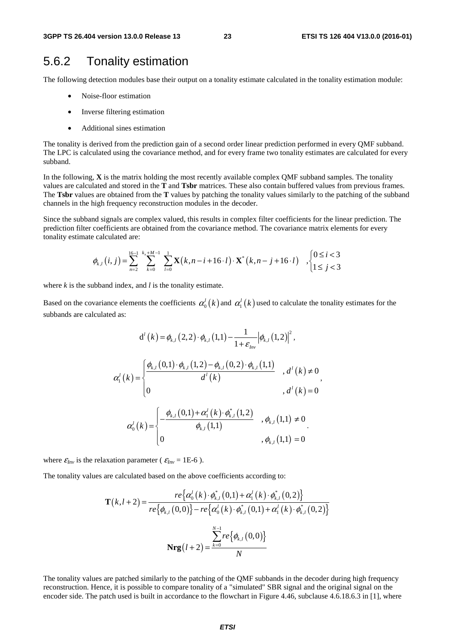### 5.6.2 Tonality estimation

The following detection modules base their output on a tonality estimate calculated in the tonality estimation module:

- Noise-floor estimation
- Inverse filtering estimation
- Additional sines estimation

The tonality is derived from the prediction gain of a second order linear prediction performed in every QMF subband. The LPC is calculated using the covariance method, and for every frame two tonality estimates are calculated for every subband.

In the following, **X** is the matrix holding the most recently available complex QMF subband samples. The tonality values are calculated and stored in the **T** and **Tsbr** matrices. These also contain buffered values from previous frames. The **Tsbr** values are obtained from the **T** values by patching the tonality values similarly to the patching of the subband channels in the high frequency reconstruction modules in the decoder.

Since the subband signals are complex valued, this results in complex filter coefficients for the linear prediction. The prediction filter coefficients are obtained from the covariance method. The covariance matrix elements for every tonality estimate calculated are:

$$
\phi_{k,l}(i,j) = \sum_{n=2}^{16-1} \sum_{k=0}^{k_x + M - 1} \sum_{l=0}^{1} \mathbf{X}(k, n-i+16 \cdot l) \cdot \mathbf{X}^*(k, n-j+16 \cdot l) ,\begin{cases} 0 \le i < 3 \\ 1 \le j < 3 \end{cases}
$$

where *k* is the subband index, and *l* is the tonality estimate.

Based on the covariance elements the coefficients  $\alpha_0^l(k)$  and  $\alpha_1^l(k)$  used to calculate the tonality estimates for the subbands are calculated as:

$$
d^{l}(k) = \phi_{k,l}(2,2) \cdot \phi_{k,l}(1,1) - \frac{1}{1+\varepsilon_{hw}} |\phi_{k,l}(1,2)|^{2},
$$
  
\n
$$
\alpha_{1}^{l}(k) = \begin{cases}\n\frac{\phi_{k,l}(0,1) \cdot \phi_{k,l}(1,2) - \phi_{k,l}(0,2) \cdot \phi_{k,l}(1,1)}{d^{l}(k)} & , d^{l}(k) \neq 0 \\
0 & , d^{l}(k) = 0\n\end{cases},
$$
  
\n
$$
\alpha_{0}^{l}(k) = \begin{cases}\n-\frac{\phi_{k,l}(0,1) + \alpha_{1}^{l}(k) \cdot \phi_{k,l}^{*}(1,2)}{\phi_{k,l}(1,1)} & , \phi_{k,l}(1,1) \neq 0 \\
0 & , \phi_{k,l}(1,1) = 0\n\end{cases}
$$

where  $\varepsilon_{Inv}$  is the relaxation parameter ( $\varepsilon_{Inv} = 1E-6$ ).

The tonality values are calculated based on the above coefficients according to:

$$
\mathbf{T}(k, l+2) = \frac{re\{\alpha_0^l(k)\cdot\phi_{k,l}^*(0,1) + \alpha_1^l(k)\cdot\phi_{k,l}^*(0,2)\}}{re\{\phi_{k,l}(0,0)\} - re\{\alpha_0^l(k)\cdot\phi_{k,l}^*(0,1) + \alpha_1^l(k)\cdot\phi_{k,l}^*(0,2)\}}
$$

$$
\mathbf{Nrg}(l+2) = \frac{\sum_{k=0}^{N-1} re\{\phi_{k,l}(0,0)\}}{N}
$$

The tonality values are patched similarly to the patching of the QMF subbands in the decoder during high frequency reconstruction. Hence, it is possible to compare tonality of a "simulated" SBR signal and the original signal on the encoder side. The patch used is built in accordance to the flowchart in Figure 4.46, subclause 4.6.18.6.3 in [1], where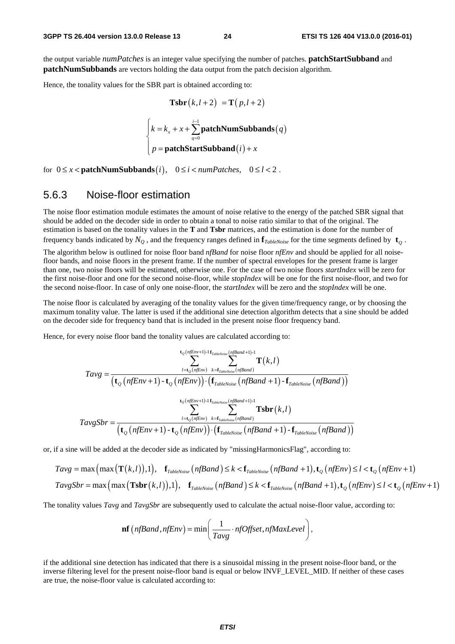the output variable *numPatches* is an integer value specifying the number of patches. **patchStartSubband** and **patchNumSubbands** are vectors holding the data output from the patch decision algorithm.

Hence, the tonality values for the SBR part is obtained according to:

$$
\text{Tsbr}(k, l+2) = \text{T}(p, l+2)
$$
\n
$$
\begin{cases}\nk = k_x + x + \sum_{q=0}^{i-1} \text{patchNumSubbands}(q) \\
p = \text{patchStartSubband}(i) + x\n\end{cases}
$$

for  $0 \le x <$  **patchNumSubbands** $(i)$ ,  $0 \le i <$  *numPatches*,  $0 \le l < 2$ .

#### 5.6.3 Noise-floor estimation

The noise floor estimation module estimates the amount of noise relative to the energy of the patched SBR signal that should be added on the decoder side in order to obtain a tonal to noise ratio similar to that of the original. The estimation is based on the tonality values in the **T** and **Tsbr** matrices, and the estimation is done for the number of frequency bands indicated by  $N_Q$ , and the frequency ranges defined in  $f_{TableNoise}$  for the time segments defined by  $t_Q$ .

The algorithm below is outlined for noise floor band *nfBand* for noise floor *nfEnv* and should be applied for all noisefloor bands, and noise floors in the present frame. If the number of spectral envelopes for the present frame is larger than one, two noise floors will be estimated, otherwise one. For the case of two noise floors *startIndex* will be zero for the first noise-floor and one for the second noise-floor, while *stopIndex* will be one for the first noise-floor, and two for the second noise-floor. In case of only one noise-floor, the *startIndex* will be zero and the *stopIndex* will be one.

The noise floor is calculated by averaging of the tonality values for the given time/frequency range, or by choosing the maximum tonality value. The latter is used if the additional sine detection algorithm detects that a sine should be added on the decoder side for frequency band that is included in the present noise floor frequency band.

Hence, for every noise floor band the tonality values are calculated according to:

$$
\tau_{av} = \frac{\sum_{l=t_O(nfEnv)+1}^{t_O(nfEnv+1)-1} \mathbf{f}_{\text{TableNoise}}(nfBand+1)-1}{\left(\mathbf{t}_O(nfEnv)+\mathbf{t}_O(nfEnv)\right) \cdot \left(\mathbf{f}_{\text{TableNoise}}(nf Band+1) - \mathbf{f}_{\text{TableNoise}}(nf Band)\right)}}
$$
\n
$$
\tau_{av} = \frac{\sum_{l=t_O(nfEnv)+1}^{t_O(nfEnv)+1} \mathbf{f}_{\text{TableNoise}}(nf Band+1)-1}{\sum_{l=t_O(nfEnv)+1}^{t_O(nfEnv)+1} \sum_{l=t_O(nfEnv)}^{t_O(nfEnv)+1} \cdot \mathbf{f}_{\text{TableNoise}}(nf Band+1)} \cdot \mathbf{f}_{\text{TableNoise}}(nf Band+1) - \mathbf{f}_{\text{TableNoise}}(nfBand))}
$$

or, if a sine will be added at the decoder side as indicated by "missingHarmonicsFlag", according to:

$$
Tavg = \max\left(\max\left(\mathbf{T}(k,l)\right),1\right), \quad \mathbf{f}_{\text{TableNoise}}\left(n\text{fBand}\right) \le k < \mathbf{f}_{\text{TableNoise}}\left(n\text{f Band}+1\right), \mathbf{t}_{Q}\left(n\text{fEnv}\right) \le l < \mathbf{t}_{Q}\left(n\text{fEnv}+1\right)
$$
\n
$$
TavgSbr = \max\left(\max\left(\mathbf{Tsbr}(k,l)\right),1\right), \quad \mathbf{f}_{\text{TableNoise}}\left(n\text{fBand}\right) \le k < \mathbf{f}_{\text{TableNoise}}\left(n\text{f Band}+1\right), \mathbf{t}_{Q}\left(n\text{fEnv}\right) \le l < \mathbf{t}_{Q}\left(n\text{fEnv}+1\right)
$$

The tonality values *Tavg* and *TavgSbr* are subsequently used to calculate the actual noise-floor value, according to:

$$
\mathbf{nf}\left(n\text{fBand}, n\text{fEnv}\right) = \min\left(\frac{1}{Tavg} \cdot n\text{fOffset}, n\text{fMaxLevel}\right),\,
$$

if the additional sine detection has indicated that there is a sinusoidal missing in the present noise-floor band, or the inverse filtering level for the present noise-floor band is equal or below INVF\_LEVEL\_MID. If neither of these cases are true, the noise-floor value is calculated according to: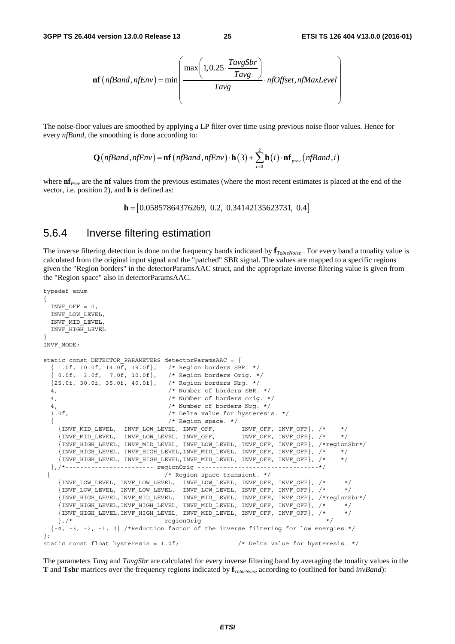$$
\mathbf{nf}\left(n\text{fBand}, n\text{fEnv}\right) = \min\left(\frac{\max\left(1, 0.25 \cdot \frac{TavgSbr}{Tavg}\right)}{Tavg} \cdot n\text{fOffset}, n\text{fMaxLevel}\right)
$$

The noise-floor values are smoothed by applying a LP filter over time using previous noise floor values. Hence for every *nfBand*, the smoothing is done according to:

$$
\mathbf{Q}\big(\text{nfBand}, \text{nfEnv}\big) = \mathbf{nf}\big(\text{nfBand}, \text{nfEnv}\big) \cdot \mathbf{h}\big(3\big) + \sum_{i=0}^{2} \mathbf{h}\big(i\big) \cdot \mathbf{nf}_{\text{prev}}\big(\text{nfBand}, i\big)
$$

where **nf**<sub>*Prev*</sub> are the **nf** values from the previous estimates (where the most recent estimates is placed at the end of the vector, i.e. position 2), and **h** is defined as:

**h** =  $[0.05857864376269, 0.2, 0.34142135623731, 0.4]$ 

#### 5.6.4 Inverse filtering estimation

The inverse filtering detection is done on the frequency bands indicated by **f***TableNoise* . For every band a tonality value is calculated from the original input signal and the "patched" SBR signal. The values are mapped to a specific regions given the "Region borders" in the detectorParamsAAC struct, and the appropriate inverse filtering value is given from the "Region space" also in detectorParamsAAC.

```
typedef enum 
{ 
  INVF OFF = 0, INVF_LOW_LEVEL, 
   INVF_MID_LEVEL, 
   INVF_HIGH_LEVEL 
} 
INVF_MODE; 
static const DETECTOR PARAMETERS detectorParamsAAC = \{{1.0f, 10.0f, 14.0f, 19.0f}, /* Region borders SBR. */
   { 0.0f, 3.0f, 7.0f, 10.0f}, /* Region borders Orig. */ 
   {25.0f, 30.0f, 35.0f, 40.0f}, /* Region borders Nrg. */ 
   4, /* Number of borders SBR. */ 
   4, /* Number of borders orig. */ 
   4, /* Number of borders Nrg. */ 
   1.0f, /* Delta value for hysteresis. */ 
  \begin{array}{l} \left\{ \begin{array}{ccccc} & \left/ \star & \text{Region space.} & \star \right/ \\ \text{ {INVF_MID_LEVEL, & \text{INVF_LOW_LEVEL, } INVF_OFF, & \text{INVF_OFF, } INVF_OFF \right\}, & \left/ \star & \right| & \star \right/ \\ \text{ {INVF_MID_LEVEL, & \text{INVF_LOW_LEVEL, } INVF_OFF, & \text{INVF_OFF, } INVF_OFF \right\}, & \left/ \star & \right| & \star \right/ \\ \end{array} \end{array} {INVF_MID_LEVEL, INVF_LOW_LEVEL, INVF_OFF, INVF_OFF, INVF_OFF}, /* | */ 
    \overline{S} INVF_MID_LEVEL, INVF_LOW_LEVEL, INVF_OFF,
     {INVF_HIGH_LEVEL, INVF_MID_LEVEL, INVF_LOW_LEVEL, INVF_OFF, INVF_OFF}, /*regionSbr*/ 
     {INVF_HIGH_LEVEL, INVF_HIGH_LEVEL,INVF_MID_LEVEL, INVF_OFF, INVF_OFF}, /* | */ 
     {INVF_HIGH_LEVEL, INVF_HIGH_LEVEL,INVF_MID_LEVEL, INVF_OFF, INVF_OFF}, /* | */ 
   },/*------------------------ regionOrig ---------------------------------*/ 
                                       { /* Region space transient. */ 
    \{INV\_LOW\_LEX , INV\_LOW\_LEVEL , INV\_LOW\_LEVEL , INV\_OMP\_OFF , /*\{INVF\ LOW\ LEVEL,\ INVF\ LOW\ LEVEL, \ INVF\ LOW\ LEVEL, \ INVF\ OEF,\ INVF\ OFF\}, \t' * | * \t' {INVF_HIGH_LEVEL,INVF_MID_LEVEL, INVF_MID_LEVEL, INVF_OFF, INVF_OFF}, /*regionSbr*/ 
\{INVF\ HIGH\ LEVEL,INVF\ HIGH\ LEVEL,\ INVF\ MID\ LEVEL,\ INVF\ OFF, \ INVF\ OFF\}, /* | */
    \{INVF\_HIGH\_LEVEL,INVF\_HIGH\_LEVEL, \;INVF\_MID\_LEVEL, \;INVF\_OFF, \;INVF_CFF\} , /* |
     },/*------------------------ regionOrig ---------------------------------*/ 
   {-4, -3, -2, -1, 0} /*Reduction factor of the inverse filtering for low energies.*/ 
}; 
static const float hysteresis = 1.0f; /* Delta value for hysteresis. */
```
The parameters *Tavg* and *TavgSbr* are calculated for every inverse filtering band by averaging the tonality values in the **T** and **Tsbr** matrices over the frequency regions indicated by **f***TableNoise* according to (outlined for band *invBand*):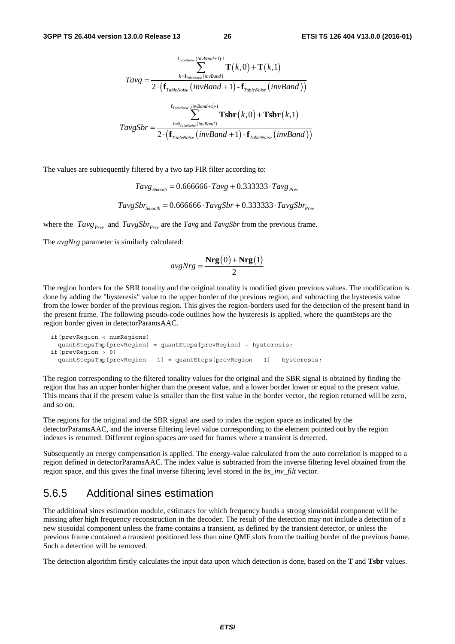$$
Tavg = \frac{\sum_{k = \mathbf{f}_{TableNoise}(invBand+1)-1}^{\mathbf{f}_{TableNoise}(inv Band)+1} \mathbf{T}(k,0) + \mathbf{T}(k,1)}{2 \cdot (\mathbf{f}_{TableNoise}(invBand+1) - \mathbf{f}_{TableNoise}(invBand)))}
$$
\n
$$
TavgSbr = \frac{\sum_{k = \mathbf{f}_{TableNoise}(inv Band+1)-1}^{\mathbf{f}_{TableNoise}(inv Band+1)-1} \mathbf{Tsbr}(k,0) + \mathbf{Tsbr}(k,1)}{2 \cdot (\mathbf{f}_{TableNoise}(invBand+1) - \mathbf{f}_{TableNoise}(invBand))}
$$

The values are subsequently filtered by a two tap FIR filter according to:

 $Tavg_{S_{model}} = 0.666666 \cdot Tay + 0.333333 \cdot Tay + 0.333333 \cdot Tay + 0.333333 \cdot Tay + 0.333333 \cdot Tay + 0.333333 \cdot Tay + 0.333333 \cdot Tay + 0.333333 \cdot Tay + 0.333333 \cdot Tay + 0.333333 \cdot Tay + 0.333333 \cdot Tay + 0.333333 \cdot Tay + 0.333333 \cdot Tay + 0.333333 \cdot T = 0.66666666 \cdot x + 0.333333 \cdot T = 0$ 

 $TavgSbr_{smooth} = 0.666666 \cdot TavgSbr + 0.333333 \cdot TavgSbr_{p_{rev}}$ 

where the  $Tavg_{Prev}$  and  $TavgSbr_{Prev}$  are the  $Tavg$  and  $TavgSbr$  from the previous frame.

The *avgNrg* parameter is similarly calculated:

$$
avgNrg = \frac{\mathbf{Nrg}(0) + \mathbf{Nrg}(1)}{2}
$$

The region borders for the SBR tonality and the original tonality is modified given previous values. The modification is done by adding the "hysteresis" value to the upper border of the previous region, and subtracting the hysteresis value from the lower border of the previous region. This gives the region-borders used for the detection of the present band in the present frame. The following pseudo-code outlines how the hysteresis is applied, where the quantSteps are the region border given in detectorParamsAAC.

```
 if(prevRegion < numRegions) 
  quantStepsTmp[prevRegion] = quantSteps[prevRegion] + hysteresis; 
 if(prevRegion > 0) 
  quantStepsTmp[prevRegion - 1] = quantSteps[prevRegion - 1] - hysteresis;
```
The region corresponding to the filtered tonality values for the original and the SBR signal is obtained by finding the region that has an upper border higher than the present value, and a lower border lower or equal to the present value. This means that if the present value is smaller than the first value in the border vector, the region returned will be zero, and so on.

The regions for the original and the SBR signal are used to index the region space as indicated by the detectorParamsAAC, and the inverse filtering level value corresponding to the element pointed out by the region indexes is returned. Different region spaces are used for frames where a transient is detected.

Subsequently an energy compensation is applied. The energy-value calculated from the auto correlation is mapped to a region defined in detectorParamsAAC. The index value is subtracted from the inverse filtering level obtained from the region space, and this gives the final inverse filtering level stored in the *bs\_inv\_filt* vector.

#### 5.6.5 Additional sines estimation

The additional sines estimation module, estimates for which frequency bands a strong sinusoidal component will be missing after high frequency reconstruction in the decoder. The result of the detection may not include a detection of a new siusoidal component unless the frame contains a transient, as defined by the transient detector, or unless the previous frame contained a transient positioned less than nine QMF slots from the trailing border of the previous frame. Such a detection will be removed.

The detection algorithm firstly calculates the input data upon which detection is done, based on the **T** and **Tsbr** values.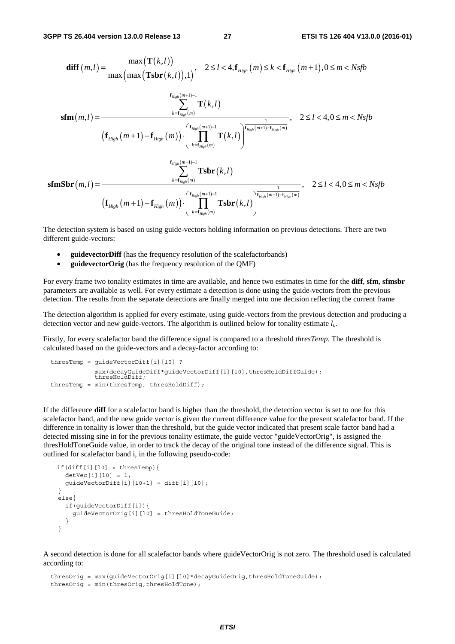$$
\begin{aligned}\n\text{diff}(m,l) &= \frac{\max(\textbf{T}(k,l))}{\max(\max(\textbf{Tsbr}(k,l)),1)}, \quad 2 \leq l < 4, \mathbf{f}_{High}(m) \leq k < \mathbf{f}_{High}(m+1), 0 \leq m < Nsfb \\
&\quad \sum_{k=f_{High}(m)}^{f_{High}(m+1)-1} \textbf{T}(k,l) \\
&\quad \text{(f}_{High}(m+1)-\mathbf{f}_{High}(m)) \cdot \left( \prod_{k=f_{High}(m)}^{f_{Map}(m+1)-1} \textbf{T}(k,l) \right)^{\frac{1}{f_{High}(m+1)-f_{High}(m)}} \\
&\quad \text{(f}_{High}(m+1)-\mathbf{f}_{High}(m)) \cdot \left( \prod_{k=f_{Map}(m)}^{f_{Map}(m+1)-1} \textbf{T}(k,l) \right)^{\frac{1}{f_{Map}(m+1)-f_{High}(m)}} \\
&\quad \text{(f}_{High}(m,l) &= \frac{\sum_{k=f_{High}(m)} \textbf{Tsbr}(k,l)}{\sum_{k=f_{High}(m)} \textbf{Tsbr}(k,l)}, \quad 2 \leq l < 4, 0 \leq m < Nsfb\n\end{aligned}
$$

The detection system is based on using guide-vectors holding information on previous detections. There are two different guide-vectors:

- **guidevectorDiff** (has the frequency resolution of the scalefactorbands)
- **guidevectorOrig** (has the frequency resolution of the QMF)

For every frame two tonality estimates in time are available, and hence two estimates in time for the **diff**, **sfm**, **sfmsbr** parameters are available as well. For every estimate a detection is done using the guide-vectors from the previous detection. The results from the separate detections are finally merged into one decision reflecting the current frame

The detection algorithm is applied for every estimate, using guide-vectors from the previous detection and producing a detection vector and new guide-vectors. The algorithm is outlined below for tonality estimate *l0*.

Firstly, for every scalefactor band the difference signal is compared to a threshold *thresTemp.* The threshold is calculated based on the guide-vectors and a decay-factor according to:

```
thresTemp = guideVectorDiff[i][l0] ?
             max(decayGuideDiff*guideVectorDiff[i][l0],thresHoldDiffGuide): 
             thresHoldDiff; 
thresTemp = min(thresTemp, thresHoldDiff);
```
If the difference **diff** for a scalefactor band is higher than the threshold, the detection vector is set to one for this scalefactor band, and the new guide vector is given the current difference value for the present scalefactor band. If the difference in tonality is lower than the threshold, but the guide vector indicated that present scale factor band had a detected missing sine in for the previous tonality estimate, the guide vector "guideVectorOrig", is assigned the thresHoldToneGuide value, in order to track the decay of the original tone instead of the difference signal. This is outlined for scalefactor band i, in the following pseudo-code:

```
if(diff[i][10] > thresTemp)detVec[i][10] = 1;
     guideVectorDiff[i][10+1] = diff[i][10]; } 
    else{ 
      if(guideVectorDiff[i]){ 
        guideVectorOrig[i][l0] = thresHoldToneGuide; 
       } 
    }
```
A second detection is done for all scalefactor bands where guideVectorOrig is not zero. The threshold used is calculated according to:

```
thresOrig = max(guideVectorOrig[i][10]*decayGuideOrig,thresHoldToneGuide);
thresOrig = min(thresOrig, thresHoldTone);
```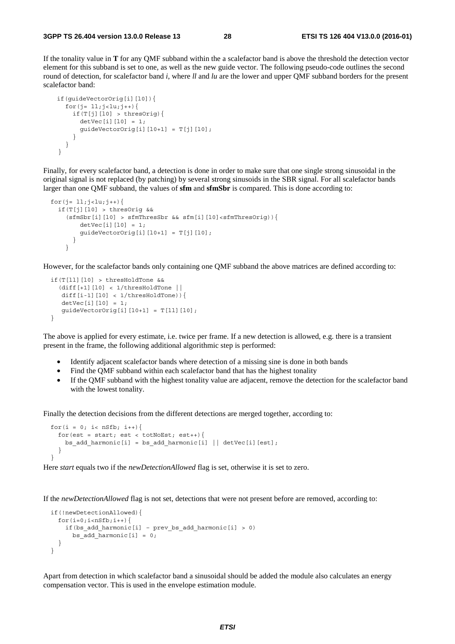If the tonality value in **T** for any QMF subband within the a scalefactor band is above the threshold the detection vector element for this subband is set to one, as well as the new guide vector. The following pseudo-code outlines the second round of detection, for scalefactor band *i*, where *ll* and *lu* are the lower and upper QMF subband borders for the present scalefactor band:

```
 if(guideVectorOrig[i][l0]){ 
      for(j= 11; j - 1u; j + ) {
        if(T[j][10] > thresOrig){
          detVec[i][10] = 1;guideVectorOrig[i][l0+1] = T[j][l0];
 } 
       } 
    }
```
Finally, for every scalefactor band, a detection is done in order to make sure that one single strong sinusoidal in the original signal is not replaced (by patching) by several strong sinusoids in the SBR signal. For all scalefactor bands larger than one QMF subband, the values of **sfm** and **sfmSbr** is compared. This is done according to:

```
for(j= 11; j < l u; j++){
    if(T[j][l0] > thresOrig && 
     (sfmsbr[i][10] > sfmThressbr \& sfm[i][10]<sffmThressOrig)detVec[i][10] = 1;guideVectorOrig[i][10+1] = T[j][10]; } 
      }
```
However, for the scalefactor bands only containing one QMF subband the above matrices are defined according to:

```
 if(T[ll][l0] > thresHoldTone && 
   (diff[+1][l0] < 1/thresHoldTone || 
   diff[i-1][10] < 1/thresHoldTone)){
   detVec[i][10] = 1;guideVectorOrig[i][10+1] = T[11][10]; }
```
The above is applied for every estimate, i.e. twice per frame. If a new detection is allowed, e.g. there is a transient present in the frame, the following additional algorithmic step is performed:

- Identify adjacent scalefactor bands where detection of a missing sine is done in both bands
- Find the QMF subband within each scalefactor band that has the highest tonality
- If the QMF subband with the highest tonality value are adjacent, remove the detection for the scalefactor band with the lowest tonality.

Finally the detection decisions from the different detections are merged together, according to:

```
for(i = 0; i< nSfb; i+1}
   for(est = start; est < totNoEst; est++){
     bs add harmonic[i] = bs add harmonic[i] || detVec[i][est];
 } 
  }
```
Here *start* equals two if the *newDetectionAllowed* flag is set, otherwise it is set to zero.

If the *newDetectionAllowed* flag is not set, detections that were not present before are removed, according to:

```
 if(!newDetectionAllowed){ 
  for(i=0;i<nSfb;i++){
    if(bs add harmonic[i] – prev bs add harmonic[i] > 0)
      bs add harmonic[i] = 0; } 
 }
```
Apart from detection in which scalefactor band a sinusoidal should be added the module also calculates an energy compensation vector. This is used in the envelope estimation module.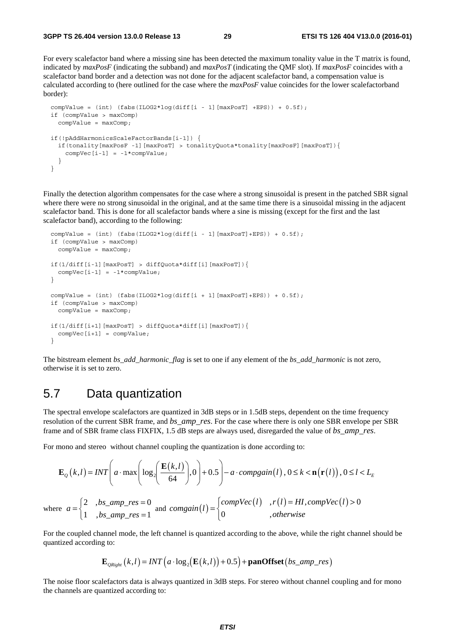For every scalefactor band where a missing sine has been detected the maximum tonality value in the T matrix is found, indicated by *maxPosF* (indicating the subband) and *maxPosT* (indicating the QMF slot). If *maxPosF* coincides with a scalefactor band border and a detection was not done for the adjacent scalefactor band, a compensation value is calculated according to (here outlined for the case where the *maxPosF* value coincides for the lower scalefactorband border):

```
compValue = (int) (fabs(ILOG2*log(diff[i - 1][maxPosT] +EPS)) + 0.5f);
 if (compValue > maxComp) 
   compValue = maxComp; 
 if(!pAddHarmonicsScaleFactorBands[i-1]) { 
   if(tonality[maxPosF -1][maxPosT] > tonalityQuota*tonality[maxPosF][maxPosT]){ 
    compVec[i-1] = -1*compValue;
   } 
 }
```
Finally the detection algorithm compensates for the case where a strong sinusoidal is present in the patched SBR signal where there were no strong sinusoidal in the original, and at the same time there is a sinusoidal missing in the adjacent scalefactor band. This is done for all scalefactor bands where a sine is missing (except for the first and the last scalefactor band), according to the following:

```
compValue = (int) (fabs(ILOG2*log(diff[i - 1][maxPosT]+EPS)) + 0.5f);
  if (compValue > maxComp) 
    compValue = maxComp; 
  if(1/diff[i-1][maxPosT] > diffQuota*diff[i][maxPosT]){ 
   compVec[i-1] = -1*compValue;
  } 
 compValue = (int) (fabs(ILOG2*log(diff[i + 1][maxPosT]+EPS)) + 0.5f);
  if (compValue > maxComp) 
    compValue = maxComp; 
  if(1/diff[i+1][maxPosT] > diffQuota*diff[i][maxPosT]){ 
   compVec[i+1] = compValue; }
```
The bitstream element *bs\_add\_harmonic\_flag* is set to one if any element of the *bs\_add\_harmonic* is not zero, otherwise it is set to zero.

### 5.7 Data quantization

The spectral envelope scalefactors are quantized in 3dB steps or in 1.5dB steps, dependent on the time frequency resolution of the current SBR frame, and *bs\_amp\_res*. For the case where there is only one SBR envelope per SBR frame and of SBR frame class FIXFIX, 1.5 dB steps are always used, disregarded the value of *bs\_amp\_res*.

For mono and stereo without channel coupling the quantization is done according to:

$$
\mathbf{E}_{Q}(k,l) = INT \left( a \cdot \max \left( \log_{2} \left( \frac{\mathbf{E}(k,l)}{64} \right), 0 \right) + 0.5 \right) - a \cdot \text{compgain}(l), 0 \le k < \mathbf{n}(\mathbf{r}(l)), 0 \le l < L_{E}
$$
\n
$$
\text{where } a = \begin{cases} 2 & \text{.} \text{bs\_amp\_res} = 0 \\ 1 & \text{.} \text{bs\_amp\_res} = 1 \end{cases} \text{ and } \text{congain}(l) = \begin{cases} \text{compVec}(l) & \text{.} \text{rb}(l) = Hl, \text{compVec}(l) > 0 \\ 0 & \text{.} \text{otherwise} \end{cases}
$$

For the coupled channel mode, the left channel is quantized according to the above, while the right channel should be quantized according to:

 $\overline{\phantom{a}}$ 

$$
\mathbf{E}_{\textit{QRight}}\left(k,l\right) = \textit{INT}\left(a \cdot \log_2\left(\mathbf{E}\left(k,l\right)\right) + 0.5\right) + \textbf{panOffset}\left(b \textit{s\_amp\_res}\right)
$$

The noise floor scalefactors data is always quantized in 3dB steps. For stereo without channel coupling and for mono the channels are quantized according to: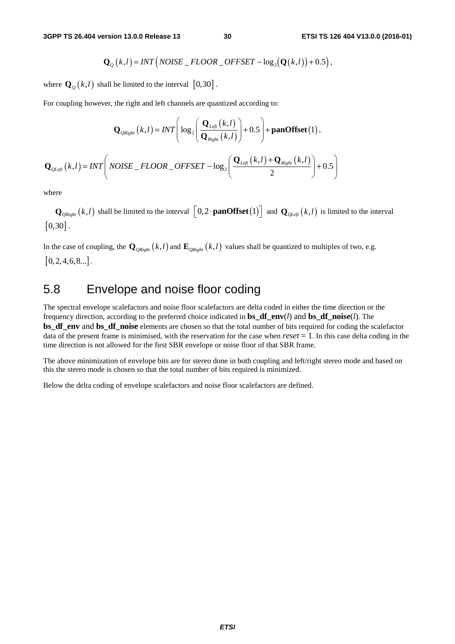$$
\mathbf{Q}_{Q}(k,l)=INT\left(NOISE\_FLOOR\_OFFSET-\log_2(\mathbf{Q}(k,l))+0.5\right),\right.
$$

where  $\mathbf{Q}_{\varrho}(k,l)$  shall be limited to the interval  $[0,30]$ .

For coupling however, the right and left channels are quantized according to:

$$
\mathbf{Q}_{QRight}(k,l) = INT \Bigg( \log_2 \Bigg( \frac{\mathbf{Q}_{Lefl}(k,l)}{\mathbf{Q}_{Right}(k,l)} \Bigg) + 0.5 \Bigg) + \mathbf{panOffset}(1),
$$
  

$$
\mathbf{Q}_{QLeft}(k,l) = INT \Bigg( \text{NOISE}_{-} FLOOR_{-}OFFSET - \log_2 \Bigg( \frac{\mathbf{Q}_{Lefl}(k,l) + \mathbf{Q}_{Right}(k,l)}{2} \Bigg) + 0.5 \Bigg)
$$

where

 $\mathbf{Q}_{\text{QRight}}(k,l)$  shall be limited to the interval  $\left[0,2\cdot\text{panOffset}(1)\right]$  and  $\mathbf{Q}_{\text{QLeft}}(k,l)$  is limited to the interval  $\left[0, 30\right]$ .

In the case of coupling, the  $\mathbf{Q}_{\text{QRight}}(k,l)$  and  $\mathbf{E}_{\text{QRight}}(k,l)$  values shall be quantized to multiples of two, e.g.  $[0, 2, 4, 6, 8...]$ .

### 5.8 Envelope and noise floor coding

The spectral envelope scalefactors and noise floor scalefactors are delta coded in either the time direction or the frequency direction, according to the preferred choice indicated in **bs\_df\_env**(*l*) and **bs\_df\_noise**(*l*). The **bs\_df\_env** and **bs\_df\_noise** elements are chosen so that the total number of bits required for coding the scalefactor data of the present frame is minimised, with the reservation for the case when  $reset = 1$ . In this case delta coding in the time direction is not allowed for the first SBR envelope or noise floor of that SBR frame.

The above minimization of envelope bits are for stereo done in both coupling and left/right stereo mode and based on this the stereo mode is chosen so that the total number of bits required is minimized.

Below the delta coding of envelope scalefactors and noise floor scalefactors are defined.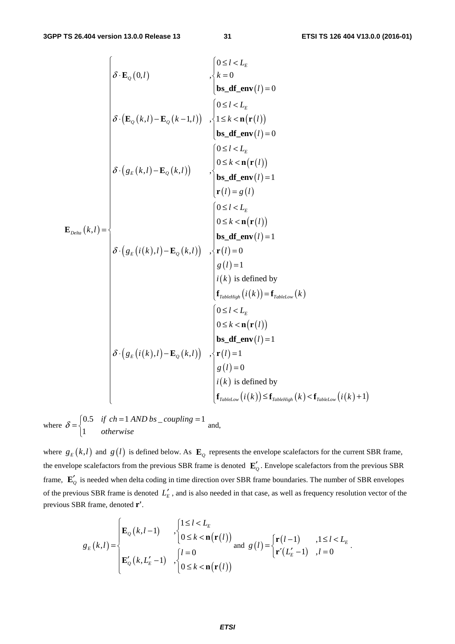$\overline{C}$ 

$$
\delta \cdot \mathbf{E}_{Q}(0,l) \qquad \qquad \begin{cases}\n0 \le l < L_{E} \\
k = 0 \\
\mathbf{b} \cdot \mathbf{d} \cdot \mathbf{f} - \mathbf{e}(\mathbf{r}(l))\n\end{cases}
$$
\n
$$
\delta \cdot (\mathbf{E}_{Q}(k,l) - \mathbf{E}_{Q}(k-1,l)) \quad , \begin{cases}\n0 \le l < L_{E} \\
1 \le k < n(\mathbf{r}(l)) \\
\mathbf{b} \le \mathbf{d} \mathbf{f} - \mathbf{e}(\mathbf{r}(l))\n\end{cases}
$$
\n
$$
\delta \cdot (g_{E}(k,l) - \mathbf{E}_{Q}(k,l)) \qquad \begin{cases}\n0 \le l < L_{E} \\
0 \le k < n(\mathbf{r}(l)) \\
\mathbf{b} \le \mathbf{d} \mathbf{f} - \mathbf{e}(\mathbf{r}(l))\n\end{cases}
$$
\n
$$
\mathbf{E}_{Deta}(k,l) = \begin{cases}\n0 \le l < L_{E} \\
0 \le k < n(\mathbf{r}(l)) \\
\mathbf{b} \le \mathbf{d} \mathbf{f} - \mathbf{e}(\mathbf{r}(l))\n\end{cases}
$$
\n
$$
\delta \cdot (g_{E}(i(k),l) - \mathbf{E}_{Q}(k,l)) \quad , \begin{cases}\n0 \le l < L_{E} \\
0 \le k < n(\mathbf{r}(l)) \\
\mathbf{b} \le \mathbf{d} \mathbf{f} - \mathbf{e}(\mathbf{r}(l))\n\end{cases}
$$
\n
$$
\mathbf{f}_{TabletIigh}(i(k)) = \mathbf{f}_{TabletJow}(k)
$$
\n
$$
\begin{cases}\n0 \le l < L_{E} \\
0 \le k < n(\mathbf{r}(l)) \\
0 \le k < n(\mathbf{r}(l)) \\
0 \le k < n(\mathbf{r}(l))\n\end{cases}
$$
\n
$$
\delta \cdot (g_{E}(i(k),l) - \mathbf{E}_{Q}(k,l)) \quad , \begin{cases}\n0 \le l < L_{E} \\
0 \le k < n(\mathbf{r}(l)) \\
0 \le k < n(\mathbf{r}(l)) \\
0 \le k < n(\mathbf{r}(l))\n\end{
$$

where  $\delta = \begin{cases} 0.5 & \text{if } ch = 1 \text{ AND } bs \text{ _coupling} = 1 \\ 0 & \text{otherwise} \end{cases}$  and, 1 *if ch* = 1 AND bs \_coupling  $\delta = \begin{cases} 0.5 & \text{if } ch = 1 \text{ AND } bs \_\text{coupling} = 1 \\ 1 & \text{otherwise} \end{cases}$  $\overline{a}$ 

where  $g_E(k,l)$  and  $g(l)$  is defined below. As  $\mathbf{E}_g$  represents the envelope scalefactors for the current SBR frame, the envelope scalefactors from the previous SBR frame is denoted  $\mathbf{E}'_p$ . Envelope scalefactors from the previous SBR frame,  $\mathbf{E}'_2$  is needed when delta coding in time direction over SBR frame boundaries. The number of SBR envelopes of the previous SBR frame is denoted  $L'_{E}$ , and is also needed in that case, as well as frequency resolution vector of the previous SBR frame, denoted **r'**.

$$
g_E(k,l) = \begin{cases} \mathbf{E}_Q(k,l-1) & , \begin{cases} 1 \leq l < L_E \\ 0 \leq k < \mathbf{n}(\mathbf{r}(l)) \end{cases} \\ \mathbf{E}'_Q(k,L'_E-1) & , \begin{cases} l=0 \\ 0 \leq k < \mathbf{n}(\mathbf{r}(l)) \end{cases} \text{ and } g(l) = \begin{cases} \mathbf{r}(l-1) & , 1 \leq l < L_E \\ \mathbf{r}'(L'_E-1) & , l=0 \end{cases}.
$$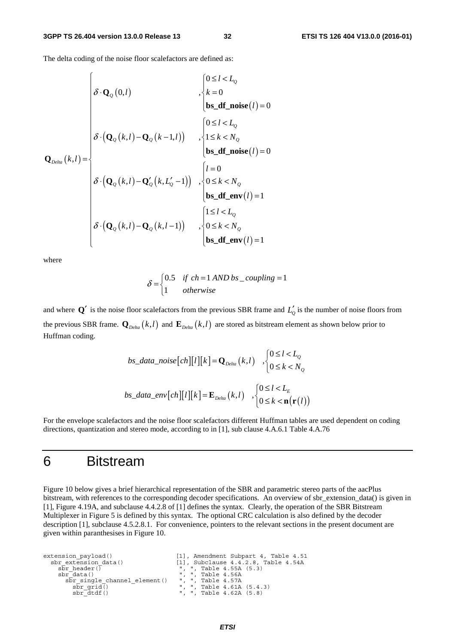The delta coding of the noise floor scalefactors are defined as:

$$
\mathbf{Q}_{\text{Delta}}(k,l) = \begin{cases}\n\delta \cdot \mathbf{Q}_{\text{Q}}(0,l) & , \begin{cases}\n0 \leq l < L_{\text{Q}} \\
k = 0 \\
\mathbf{bs\_df\_noise}(l) = 0\n\end{cases} \\
\delta \cdot (\mathbf{Q}_{\text{Q}}(k,l) - \mathbf{Q}_{\text{Q}}(k-1,l)) & , \begin{cases}\n0 \leq l < L_{\text{Q}} \\
1 \leq k < N_{\text{Q}} \\
\mathbf{bs\_df\_noise}(l) = 0\n\end{cases} \\
\delta \cdot (\mathbf{Q}_{\text{Q}}(k,l) - \mathbf{Q}_{\text{Q}}'(k, L_{\text{Q}}' - 1)) & , \begin{cases}\nl = 0 \\
0 \leq k < N_{\text{Q}} \\
\mathbf{bs\_df\_env}(l) = 1\n\end{cases} \\
\delta \cdot (\mathbf{Q}_{\text{Q}}(k,l) - \mathbf{Q}_{\text{Q}}(k, l-1)) & , \begin{cases}\n1 \leq l < L_{\text{Q}} \\
0 \leq k < N_{\text{Q}} \\
\mathbf{bs\_df\_env}(l) = 1\n\end{cases}\n\end{cases}
$$

 $\overline{a}$ 

where

$$
\delta = \begin{cases} 0.5 & \text{if } ch = 1 \text{ AND } bs\_coupling = 1\\ 1 & \text{otherwise} \end{cases}
$$

and where  $Q'$  is the noise floor scalefactors from the previous SBR frame and  $L'_{Q}$  is the number of noise floors from the previous SBR frame.  $\mathbf{Q}_{Delta}(k,l)$  and  $\mathbf{E}_{Delta}(k,l)$  are stored as bitstream element as shown below prior to Huffman coding.

$$
bs\_data\_noise[ch][l][k] = \mathbf{Q}_{Delta}(k, l) , \begin{cases} 0 \le l < L_0 \\ 0 \le k < N_0 \end{cases}
$$
\n
$$
bs\_data\_env[ch][l][k] = \mathbf{E}_{Delta}(k, l) , \begin{cases} 0 \le l < L_E \\ 0 \le k < \mathbf{n}(\mathbf{r}(l)) \end{cases}
$$

For the envelope scalefactors and the noise floor scalefactors different Huffman tables are used dependent on coding directions, quantization and stereo mode, according to in [1], sub clause 4.A.6.1 Table 4.A.76

# 6 Bitstream

Figure 10 below gives a brief hierarchical representation of the SBR and parametric stereo parts of the aacPlus bitstream, with references to the corresponding decoder specifications. An overview of sbr\_extension\_data() is given in [1], Figure 4.19A, and subclause 4.4.2.8 of [1] defines the syntax. Clearly, the operation of the SBR Bitstream Multiplexer in Figure 5 is defined by this syntax. The optional CRC calculation is also defined by the decoder description [1], subclause 4.5.2.8.1. For convenience, pointers to the relevant sections in the present document are given within paranthesises in Figure 10.

```
extension_payload() [1], Amendment Subpart 4, Table 4.51<br>sbr extension data() [1], Subclause 4.4.2.8, Table 4.54A
        \begin{array}{lll} \text{for extension data()} & & [1], \text{ Subclause 4.4.2.8, Table 4.54A} \\ \text{sbr\_header() & & \text{''}, \text{''}, \text{ Table 4.55A (5.3)} \\ \text{sbr\_data() & & \text{''}, \text{''}, \text{ Table 4.56A} \end{array} sbr_header() ", ", Table 4.55A (5.3) 
 sbr_data() ", ", Table 4.56A 
             sbr_single_channel_element() ", ", Table 4.57A<br>sbr_grid() ", ", Table 4.57A<br>sbr_grid() ", ", Table 4.61A<br>sbr_dtdf() ", ", Table 4.62A
\bar{\text{sbr}}_grid() \bar{\text{c}} = \bar{\text{c}}, ", Table 4.61A (5.4.3)<br>sbr_dtdf() = \bar{\text{c}}, ", Table 4.62A (5.8)
```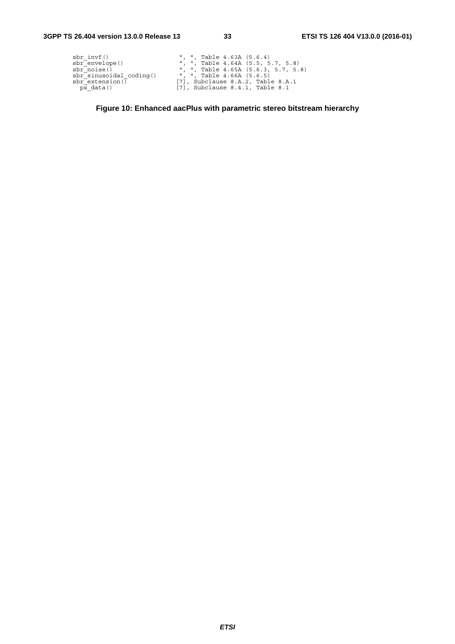| sbr invf()                | ", ", Table $4.63A$ $(5.6.4)$           |
|---------------------------|-----------------------------------------|
| sbr_envelope()            | ", ", Table $4.64A$ $(5.5, 5.7, 5.8)$   |
| sbr noise()               | ", ", Table $4.65A$ $(5.6.3, 5.7, 5.8)$ |
| sbr sinusoidal coding()   | ", ", Table 4.66A (5.6.5)               |
| $\text{sbr}$ extension () | $[7]$ , Subclause 8.A.2, Table 8.A.1    |
| ps data()                 | $[7]$ , Subclause 8.4.1, Table 8.1      |

**Figure 10: Enhanced aacPlus with parametric stereo bitstream hierarchy**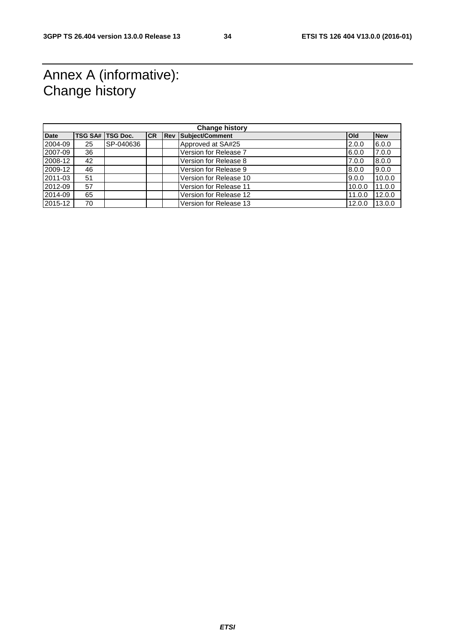# Annex A (informative): Change history

| <b>Change history</b> |    |                    |           |  |                            |              |            |
|-----------------------|----|--------------------|-----------|--|----------------------------|--------------|------------|
| <b>Date</b>           |    | TSG SA#   TSG Doc. | <b>CR</b> |  | <b>Rev Subject/Comment</b> | <b>l</b> Old | <b>New</b> |
| 2004-09               | 25 | SP-040636          |           |  | Approved at SA#25          | 2.0.0        | 6.0.0      |
| 2007-09               | 36 |                    |           |  | Version for Release 7      | 6.0.0        | 7.0.0      |
| 2008-12               | 42 |                    |           |  | Version for Release 8      | 7.0.0        | 8.0.0      |
| 2009-12               | 46 |                    |           |  | Version for Release 9      | 8.0.0        | 9.0.0      |
| 2011-03               | 51 |                    |           |  | Version for Release 10     | 9.0.0        | 10.0.0     |
| 2012-09               | 57 |                    |           |  | Version for Release 11     | 10.0.0       | 11.0.0     |
| 2014-09               | 65 |                    |           |  | Version for Release 12     | 11.0.0       | 12.0.0     |
| 2015-12               | 70 |                    |           |  | Version for Release 13     | 12.0.0       | 13.0.0     |